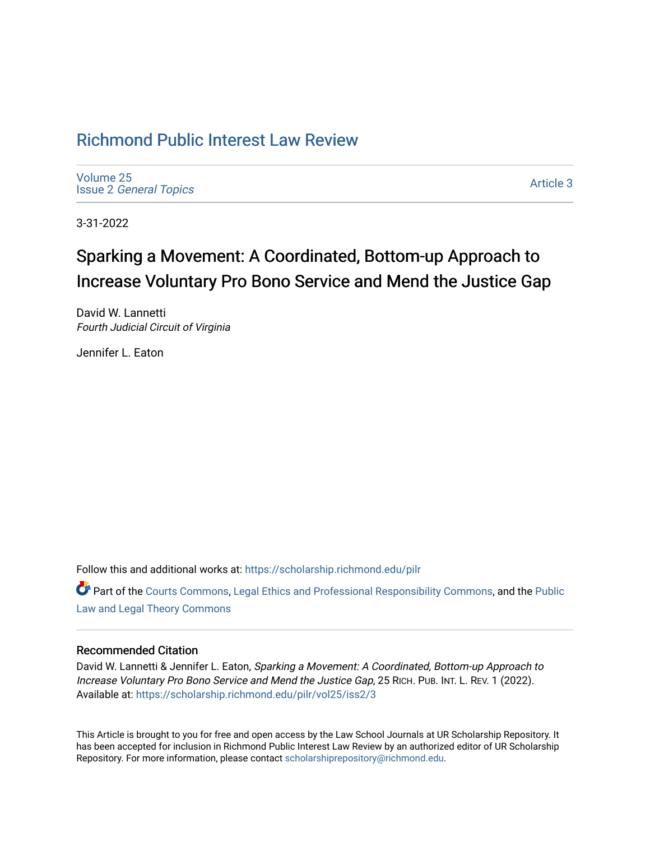# [Richmond Public Interest Law Review](https://scholarship.richmond.edu/pilr)

[Volume 25](https://scholarship.richmond.edu/pilr/vol25) Issue 2 [General Topics](https://scholarship.richmond.edu/pilr/vol25/iss2) 

[Article 3](https://scholarship.richmond.edu/pilr/vol25/iss2/3) 

3-31-2022

# Sparking a Movement: A Coordinated, Bottom-up Approach to Increase Voluntary Pro Bono Service and Mend the Justice Gap

David W. Lannetti Fourth Judicial Circuit of Virginia

Jennifer L. Eaton

Follow this and additional works at: [https://scholarship.richmond.edu/pilr](https://scholarship.richmond.edu/pilr?utm_source=scholarship.richmond.edu%2Fpilr%2Fvol25%2Fiss2%2F3&utm_medium=PDF&utm_campaign=PDFCoverPages) 

**C** Part of the [Courts Commons,](http://network.bepress.com/hgg/discipline/839?utm_source=scholarship.richmond.edu%2Fpilr%2Fvol25%2Fiss2%2F3&utm_medium=PDF&utm_campaign=PDFCoverPages) [Legal Ethics and Professional Responsibility Commons](http://network.bepress.com/hgg/discipline/895?utm_source=scholarship.richmond.edu%2Fpilr%2Fvol25%2Fiss2%2F3&utm_medium=PDF&utm_campaign=PDFCoverPages), and the Public [Law and Legal Theory Commons](http://network.bepress.com/hgg/discipline/871?utm_source=scholarship.richmond.edu%2Fpilr%2Fvol25%2Fiss2%2F3&utm_medium=PDF&utm_campaign=PDFCoverPages) 

# Recommended Citation

David W. Lannetti & Jennifer L. Eaton, Sparking a Movement: A Coordinated, Bottom-up Approach to Increase Voluntary Pro Bono Service and Mend the Justice Gap, 25 RICH. PUB. INT. L. REV. 1 (2022). Available at: [https://scholarship.richmond.edu/pilr/vol25/iss2/3](https://scholarship.richmond.edu/pilr/vol25/iss2/3?utm_source=scholarship.richmond.edu%2Fpilr%2Fvol25%2Fiss2%2F3&utm_medium=PDF&utm_campaign=PDFCoverPages)

This Article is brought to you for free and open access by the Law School Journals at UR Scholarship Repository. It has been accepted for inclusion in Richmond Public Interest Law Review by an authorized editor of UR Scholarship Repository. For more information, please contact [scholarshiprepository@richmond.edu](mailto:scholarshiprepository@richmond.edu).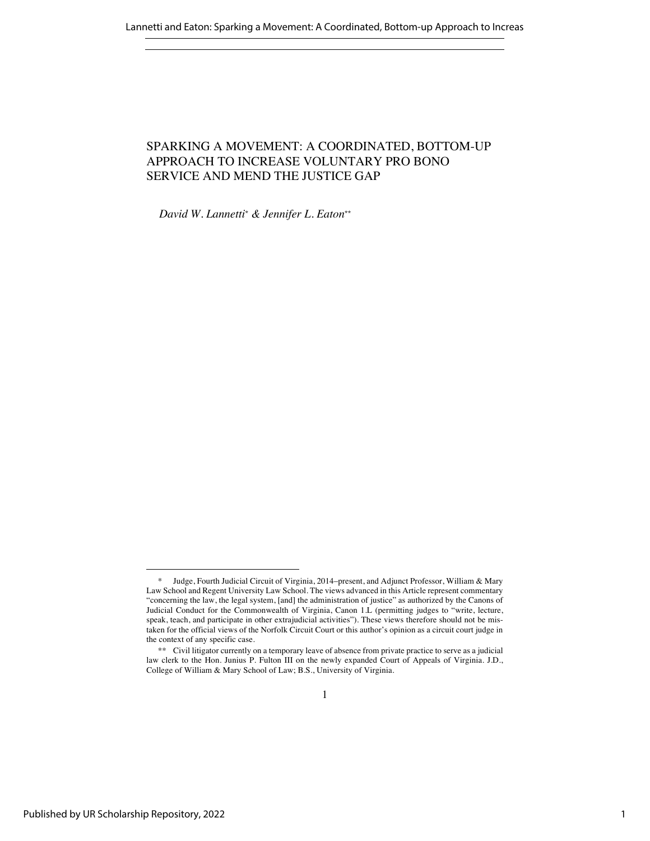# SPARKING A MOVEMENT: A COORDINATED, BOTTOM-UP APPROACH TO INCREASE VOLUNTARY PRO BONO SERVICE AND MEND THE JUSTICE GAP

*David W. Lannetti\* & Jennifer L. Eaton\*\**

<sup>\*</sup> Judge, Fourth Judicial Circuit of Virginia, 2014–present, and Adjunct Professor, William & Mary Law School and Regent University Law School. The views advanced in this Article represent commentary "concerning the law, the legal system, [and] the administration of justice" as authorized by the Canons of Judicial Conduct for the Commonwealth of Virginia, Canon 1.L (permitting judges to "write, lecture, speak, teach, and participate in other extrajudicial activities"). These views therefore should not be mistaken for the official views of the Norfolk Circuit Court or this author's opinion as a circuit court judge in the context of any specific case.

<sup>\*\*</sup> Civil litigator currently on a temporary leave of absence from private practice to serve as a judicial law clerk to the Hon. Junius P. Fulton III on the newly expanded Court of Appeals of Virginia. J.D., College of William & Mary School of Law; B.S., University of Virginia.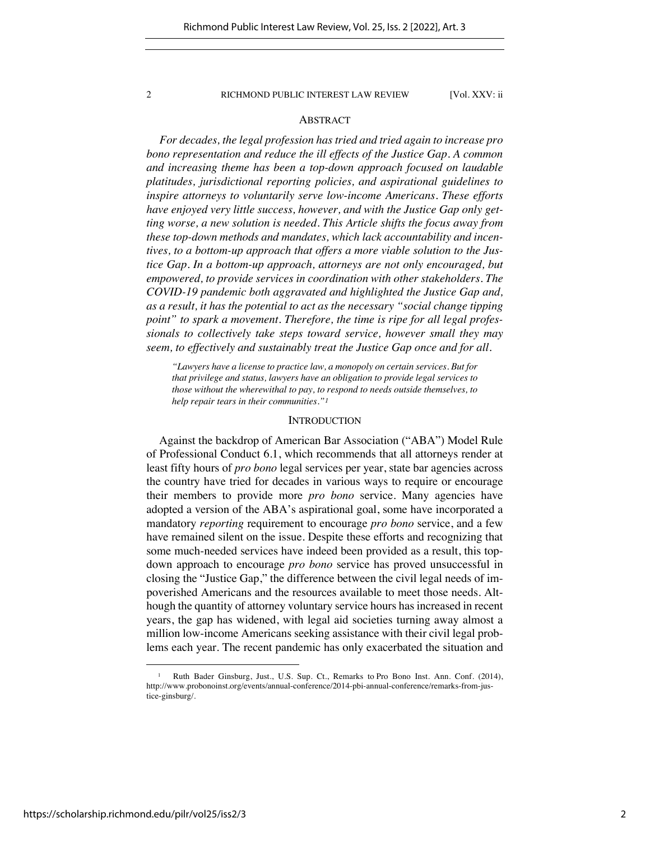### ABSTRACT

*For decades, the legal profession has tried and tried again to increase pro bono representation and reduce the ill effects of the Justice Gap. A common and increasing theme has been a top-down approach focused on laudable platitudes, jurisdictional reporting policies, and aspirational guidelines to inspire attorneys to voluntarily serve low-income Americans. These efforts have enjoyed very little success, however, and with the Justice Gap only getting worse, a new solution is needed. This Article shifts the focus away from these top-down methods and mandates, which lack accountability and incentives, to a bottom-up approach that offers a more viable solution to the Justice Gap. In a bottom-up approach, attorneys are not only encouraged, but empowered, to provide services in coordination with other stakeholders. The COVID-19 pandemic both aggravated and highlighted the Justice Gap and, as a result, it has the potential to act as the necessary "social change tipping point" to spark a movement. Therefore, the time is ripe for all legal professionals to collectively take steps toward service, however small they may seem, to effectively and sustainably treat the Justice Gap once and for all.*

*"Lawyers have a license to practice law, a monopoly on certain services. But for that privilege and status, lawyers have an obligation to provide legal services to those without the wherewithal to pay, to respond to needs outside themselves, to help repair tears in their communities."<sup>1</sup>*

### **INTRODUCTION**

Against the backdrop of American Bar Association ("ABA") Model Rule of Professional Conduct 6.1, which recommends that all attorneys render at least fifty hours of *pro bono* legal services per year, state bar agencies across the country have tried for decades in various ways to require or encourage their members to provide more *pro bono* service. Many agencies have adopted a version of the ABA's aspirational goal, some have incorporated a mandatory *reporting* requirement to encourage *pro bono* service, and a few have remained silent on the issue. Despite these efforts and recognizing that some much-needed services have indeed been provided as a result, this topdown approach to encourage *pro bono* service has proved unsuccessful in closing the "Justice Gap," the difference between the civil legal needs of impoverished Americans and the resources available to meet those needs. Although the quantity of attorney voluntary service hours has increased in recent years, the gap has widened, with legal aid societies turning away almost a million low-income Americans seeking assistance with their civil legal problems each year. The recent pandemic has only exacerbated the situation and

Ruth Bader Ginsburg, Just., U.S. Sup. Ct., Remarks to Pro Bono Inst. Ann. Conf. (2014), http://www.probonoinst.org/events/annual-conference/2014-pbi-annual-conference/remarks-from-justice-ginsburg/.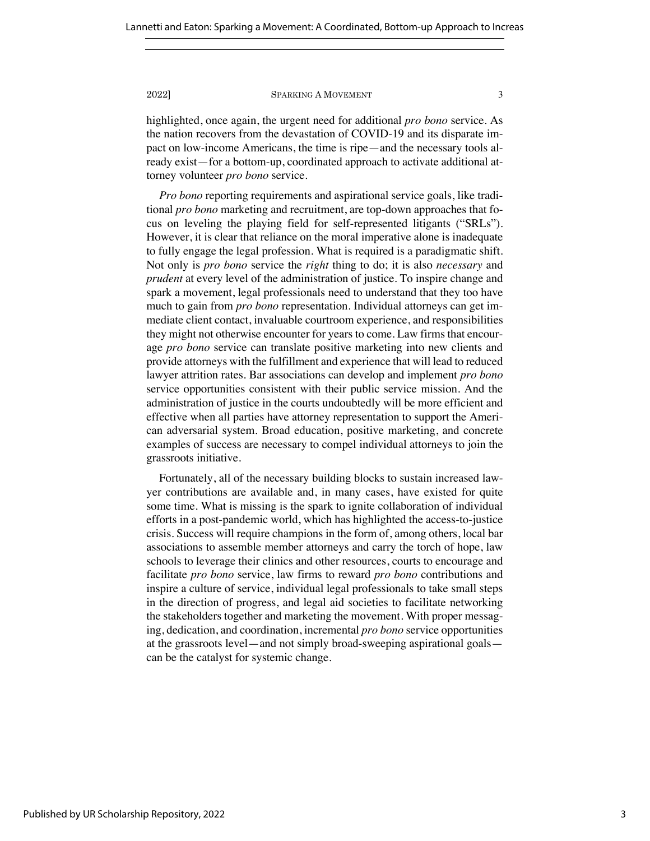highlighted, once again, the urgent need for additional *pro bono* service. As the nation recovers from the devastation of COVID-19 and its disparate impact on low-income Americans, the time is ripe—and the necessary tools already exist—for a bottom-up, coordinated approach to activate additional attorney volunteer *pro bono* service.

*Pro bono* reporting requirements and aspirational service goals, like traditional *pro bono* marketing and recruitment, are top-down approaches that focus on leveling the playing field for self-represented litigants ("SRLs"). However, it is clear that reliance on the moral imperative alone is inadequate to fully engage the legal profession. What is required is a paradigmatic shift. Not only is *pro bono* service the *right* thing to do; it is also *necessary* and *prudent* at every level of the administration of justice. To inspire change and spark a movement, legal professionals need to understand that they too have much to gain from *pro bono* representation. Individual attorneys can get immediate client contact, invaluable courtroom experience, and responsibilities they might not otherwise encounter for years to come. Law firms that encourage *pro bono* service can translate positive marketing into new clients and provide attorneys with the fulfillment and experience that will lead to reduced lawyer attrition rates. Bar associations can develop and implement *pro bono*  service opportunities consistent with their public service mission. And the administration of justice in the courts undoubtedly will be more efficient and effective when all parties have attorney representation to support the American adversarial system. Broad education, positive marketing, and concrete examples of success are necessary to compel individual attorneys to join the grassroots initiative.

Fortunately, all of the necessary building blocks to sustain increased lawyer contributions are available and, in many cases, have existed for quite some time. What is missing is the spark to ignite collaboration of individual efforts in a post-pandemic world, which has highlighted the access-to-justice crisis. Success will require champions in the form of, among others, local bar associations to assemble member attorneys and carry the torch of hope, law schools to leverage their clinics and other resources, courts to encourage and facilitate *pro bono* service, law firms to reward *pro bono* contributions and inspire a culture of service, individual legal professionals to take small steps in the direction of progress, and legal aid societies to facilitate networking the stakeholders together and marketing the movement. With proper messaging, dedication, and coordination, incremental *pro bono* service opportunities at the grassroots level—and not simply broad-sweeping aspirational goals can be the catalyst for systemic change.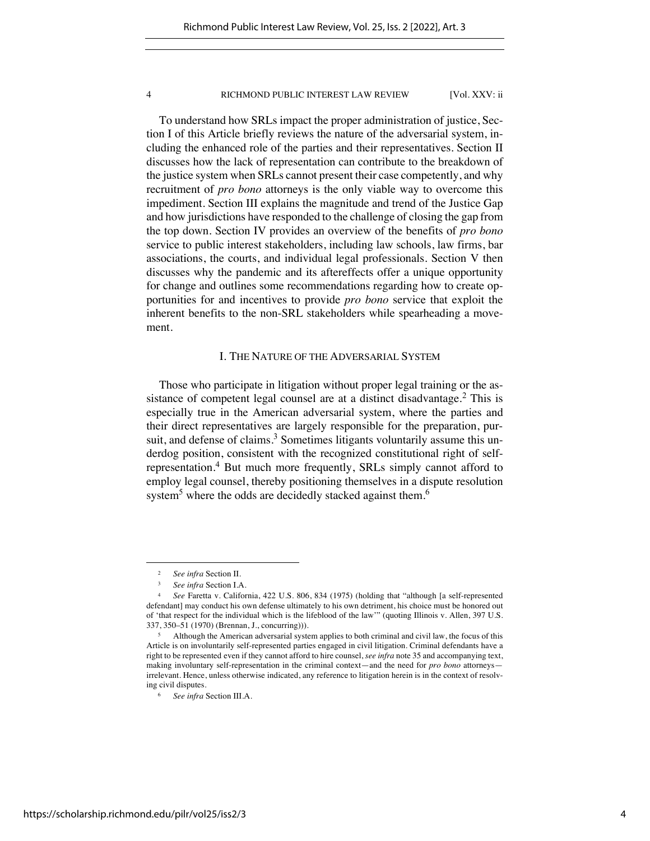To understand how SRLs impact the proper administration of justice, Section I of this Article briefly reviews the nature of the adversarial system, including the enhanced role of the parties and their representatives. Section II discusses how the lack of representation can contribute to the breakdown of the justice system when SRLs cannot present their case competently, and why recruitment of *pro bono* attorneys is the only viable way to overcome this impediment. Section III explains the magnitude and trend of the Justice Gap and how jurisdictions have responded to the challenge of closing the gap from the top down. Section IV provides an overview of the benefits of *pro bono*  service to public interest stakeholders, including law schools, law firms, bar associations, the courts, and individual legal professionals. Section V then discusses why the pandemic and its aftereffects offer a unique opportunity for change and outlines some recommendations regarding how to create opportunities for and incentives to provide *pro bono* service that exploit the inherent benefits to the non-SRL stakeholders while spearheading a movement.

# I. THE NATURE OF THE ADVERSARIAL SYSTEM

Those who participate in litigation without proper legal training or the assistance of competent legal counsel are at a distinct disadvantage.<sup>2</sup> This is especially true in the American adversarial system, where the parties and their direct representatives are largely responsible for the preparation, pursuit, and defense of claims.<sup>3</sup> Sometimes litigants voluntarily assume this underdog position, consistent with the recognized constitutional right of selfrepresentation.<sup>4</sup> But much more frequently, SRLs simply cannot afford to employ legal counsel, thereby positioning themselves in a dispute resolution system<sup>5</sup> where the odds are decidedly stacked against them.<sup>6</sup>

<sup>2</sup> *See infra* Section II.

<sup>3</sup> *See infra* Section I.A.

<sup>4</sup> *See* Faretta v. California, 422 U.S. 806, 834 (1975) (holding that "although [a self-represented defendant] may conduct his own defense ultimately to his own detriment, his choice must be honored out of 'that respect for the individual which is the lifeblood of the law'" (quoting Illinois v. Allen, 397 U.S. 337, 350–51 (1970) (Brennan, J., concurring))).

<sup>&</sup>lt;sup>5</sup> Although the American adversarial system applies to both criminal and civil law, the focus of this Article is on involuntarily self-represented parties engaged in civil litigation. Criminal defendants have a right to be represented even if they cannot afford to hire counsel, *see infra* note 35 and accompanying text, making involuntary self-representation in the criminal context—and the need for *pro bono* attorneys irrelevant. Hence, unless otherwise indicated, any reference to litigation herein is in the context of resolving civil disputes.

<sup>6</sup> *See infra* Section III.A.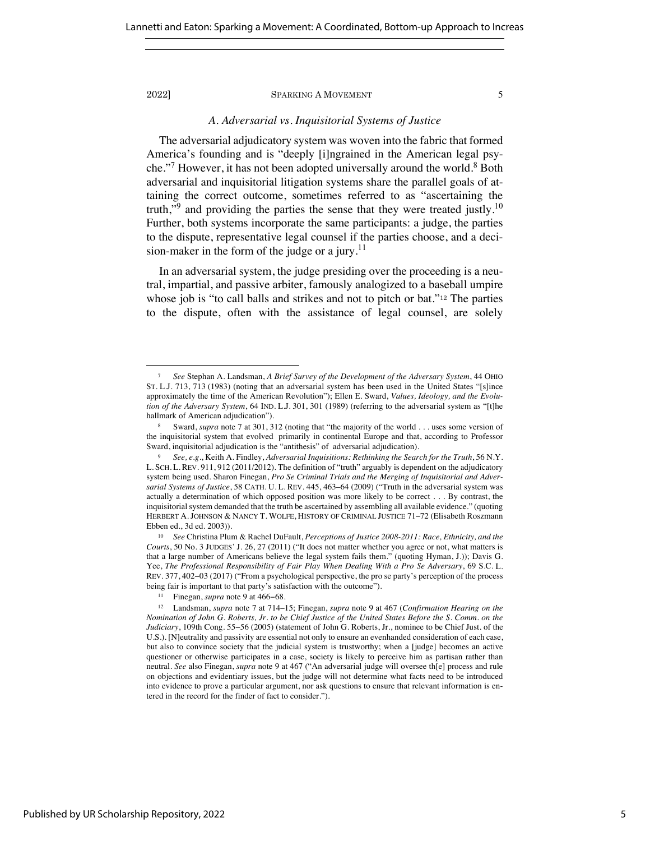### *A. Adversarial vs. Inquisitorial Systems of Justice*

The adversarial adjudicatory system was woven into the fabric that formed America's founding and is "deeply [i]ngrained in the American legal psyche."<sup>7</sup> However, it has not been adopted universally around the world.<sup>8</sup> Both adversarial and inquisitorial litigation systems share the parallel goals of attaining the correct outcome, sometimes referred to as "ascertaining the truth,"<sup>9</sup> and providing the parties the sense that they were treated justly.<sup>10</sup> Further, both systems incorporate the same participants: a judge, the parties to the dispute, representative legal counsel if the parties choose, and a decision-maker in the form of the judge or a jury.<sup>11</sup>

In an adversarial system, the judge presiding over the proceeding is a neutral, impartial, and passive arbiter, famously analogized to a baseball umpire whose job is "to call balls and strikes and not to pitch or bat."<sup>12</sup> The parties to the dispute, often with the assistance of legal counsel, are solely

<sup>7</sup> *See* Stephan A. Landsman, *A Brief Survey of the Development of the Adversary System*, 44 OHIO ST. L.J. 713, 713 (1983) (noting that an adversarial system has been used in the United States "[s]ince approximately the time of the American Revolution"); Ellen E. Sward, *Values, Ideology, and the Evolution of the Adversary System*, 64 IND. L.J. 301, 301 (1989) (referring to the adversarial system as "[t]he hallmark of American adjudication").

<sup>8</sup> Sward, *supra* note 7 at 301, 312 (noting that "the majority of the world . . . uses some version of the inquisitorial system that evolved primarily in continental Europe and that, according to Professor Sward, inquisitorial adjudication is the "antithesis" of adversarial adjudication).

<sup>9</sup> *See, e.g.*, Keith A. Findley, *Adversarial Inquisitions: Rethinking the Search for the Truth*, 56 N.Y. L. SCH. L. REV. 911, 912 (2011/2012). The definition of "truth" arguably is dependent on the adjudicatory system being used. Sharon Finegan, *Pro Se Criminal Trials and the Merging of Inquisitorial and Adversarial Systems of Justice*, 58 CATH. U. L. REV. 445, 463–64 (2009) ("Truth in the adversarial system was actually a determination of which opposed position was more likely to be correct . . . By contrast, the inquisitorial system demanded that the truth be ascertained by assembling all available evidence." (quoting HERBERT A. JOHNSON & NANCY T. WOLFE, HISTORY OF CRIMINAL JUSTICE 71–72 (Elisabeth Roszmann Ebben ed., 3d ed. 2003)).

<sup>10</sup> *See* Christina Plum & Rachel DuFault, *Perceptions of Justice 2008-2011: Race, Ethnicity, and the Courts*, 50 No. 3 JUDGES' J. 26, 27 (2011) ("It does not matter whether you agree or not, what matters is that a large number of Americans believe the legal system fails them." (quoting Hyman, J.)); Davis G. Yee, *The Professional Responsibility of Fair Play When Dealing With a Pro Se Adversary*, 69 S.C. L. REV. 377, 402−03 (2017) ("From a psychological perspective, the pro se party's perception of the process being fair is important to that party's satisfaction with the outcome").

<sup>11</sup> Finegan, *supra* note 9 at 466−68.

<sup>12</sup> Landsman, *supra* note 7 at 714–15; Finegan, *supra* note 9 at 467 (*Confirmation Hearing on the Nomination of John G. Roberts, Jr. to be Chief Justice of the United States Before the S. Comm. on the Judiciary*, 109th Cong. 55−56 (2005) (statement of John G. Roberts, Jr., nominee to be Chief Just. of the U.S.). [N]eutrality and passivity are essential not only to ensure an evenhanded consideration of each case, but also to convince society that the judicial system is trustworthy; when a [judge] becomes an active questioner or otherwise participates in a case, society is likely to perceive him as partisan rather than neutral. *See* also Finegan, *supra* note 9 at 467 ("An adversarial judge will oversee th[e] process and rule on objections and evidentiary issues, but the judge will not determine what facts need to be introduced into evidence to prove a particular argument, nor ask questions to ensure that relevant information is entered in the record for the finder of fact to consider.").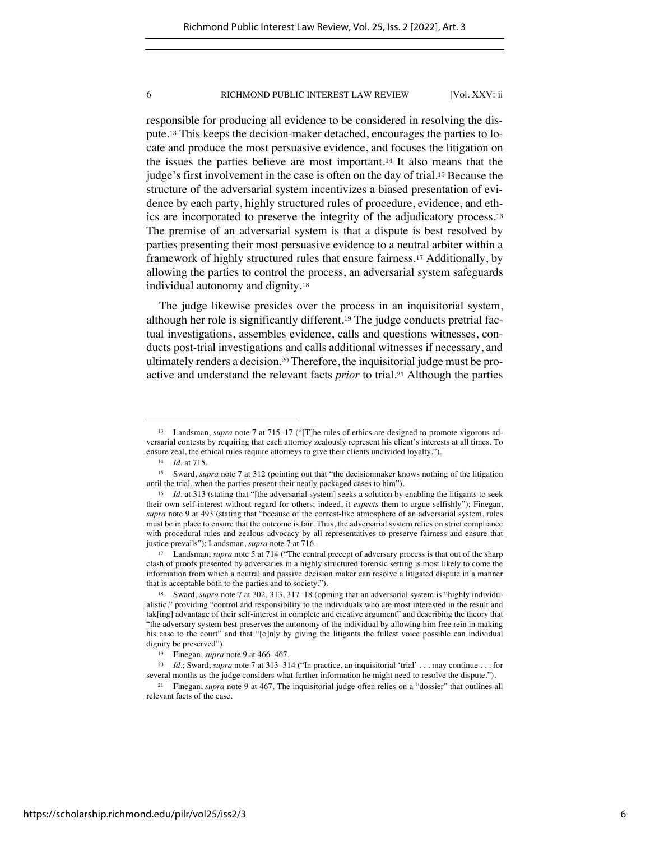responsible for producing all evidence to be considered in resolving the dispute.<sup>13</sup> This keeps the decision-maker detached, encourages the parties to locate and produce the most persuasive evidence, and focuses the litigation on the issues the parties believe are most important.<sup>14</sup> It also means that the judge's first involvement in the case is often on the day of trial.<sup>15</sup> Because the structure of the adversarial system incentivizes a biased presentation of evidence by each party, highly structured rules of procedure, evidence, and ethics are incorporated to preserve the integrity of the adjudicatory process.<sup>16</sup> The premise of an adversarial system is that a dispute is best resolved by parties presenting their most persuasive evidence to a neutral arbiter within a framework of highly structured rules that ensure fairness.<sup>17</sup> Additionally, by allowing the parties to control the process, an adversarial system safeguards individual autonomy and dignity.<sup>18</sup>

The judge likewise presides over the process in an inquisitorial system, although her role is significantly different.<sup>19</sup> The judge conducts pretrial factual investigations, assembles evidence, calls and questions witnesses, conducts post-trial investigations and calls additional witnesses if necessary, and ultimately renders a decision.<sup>20</sup> Therefore, the inquisitorial judge must be proactive and understand the relevant facts *prior* to trial.<sup>21</sup> Although the parties

Landsman, *supra* note 7 at 715–17 ("[T]he rules of ethics are designed to promote vigorous adversarial contests by requiring that each attorney zealously represent his client's interests at all times. To ensure zeal, the ethical rules require attorneys to give their clients undivided loyalty.").

<sup>14</sup> *Id.* at 715.

<sup>15</sup> Sward, *supra* note 7 at 312 (pointing out that "the decisionmaker knows nothing of the litigation until the trial, when the parties present their neatly packaged cases to him").

<sup>&</sup>lt;sup>16</sup> *Id.* at 313 (stating that "[the adversarial system] seeks a solution by enabling the litigants to seek their own self-interest without regard for others; indeed, it *expects* them to argue selfishly"); Finegan, *supra* note 9 at 493 (stating that "because of the contest-like atmosphere of an adversarial system, rules must be in place to ensure that the outcome is fair. Thus, the adversarial system relies on strict compliance with procedural rules and zealous advocacy by all representatives to preserve fairness and ensure that justice prevails"); Landsman, *supra* note 7 at 716.

<sup>&</sup>lt;sup>17</sup> Landsman, *supra* note 5 at 714 ("The central precept of adversary process is that out of the sharp clash of proofs presented by adversaries in a highly structured forensic setting is most likely to come the information from which a neutral and passive decision maker can resolve a litigated dispute in a manner that is acceptable both to the parties and to society.").

<sup>18</sup> Sward, *supra* note 7 at 302, 313, 317–18 (opining that an adversarial system is "highly individualistic," providing "control and responsibility to the individuals who are most interested in the result and tak[ing] advantage of their self-interest in complete and creative argument" and describing the theory that "the adversary system best preserves the autonomy of the individual by allowing him free rein in making his case to the court" and that "[o]nly by giving the litigants the fullest voice possible can individual dignity be preserved").

<sup>19</sup> Finegan, *supra* note 9 at 466–467.

<sup>20</sup> *Id.*; Sward, *supra* note 7 at 313–314 ("In practice, an inquisitorial 'trial' . . . may continue . . . for several months as the judge considers what further information he might need to resolve the dispute.").

<sup>21</sup> Finegan, *supra* note 9 at 467. The inquisitorial judge often relies on a "dossier" that outlines all relevant facts of the case.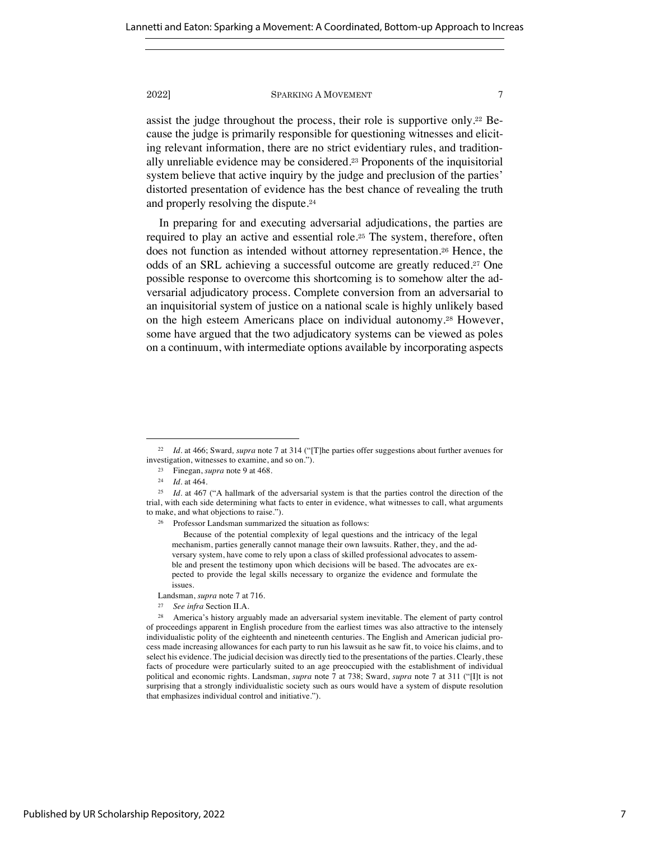assist the judge throughout the process, their role is supportive only.<sup>22</sup> Because the judge is primarily responsible for questioning witnesses and eliciting relevant information, there are no strict evidentiary rules, and traditionally unreliable evidence may be considered.<sup>23</sup> Proponents of the inquisitorial system believe that active inquiry by the judge and preclusion of the parties' distorted presentation of evidence has the best chance of revealing the truth and properly resolving the dispute.<sup>24</sup>

In preparing for and executing adversarial adjudications, the parties are required to play an active and essential role.<sup>25</sup> The system, therefore, often does not function as intended without attorney representation.<sup>26</sup> Hence, the odds of an SRL achieving a successful outcome are greatly reduced.<sup>27</sup> One possible response to overcome this shortcoming is to somehow alter the adversarial adjudicatory process. Complete conversion from an adversarial to an inquisitorial system of justice on a national scale is highly unlikely based on the high esteem Americans place on individual autonomy.<sup>28</sup> However, some have argued that the two adjudicatory systems can be viewed as poles on a continuum, with intermediate options available by incorporating aspects

<sup>26</sup> Professor Landsman summarized the situation as follows:

Because of the potential complexity of legal questions and the intricacy of the legal mechanism, parties generally cannot manage their own lawsuits. Rather, they, and the adversary system, have come to rely upon a class of skilled professional advocates to assemble and present the testimony upon which decisions will be based. The advocates are expected to provide the legal skills necessary to organize the evidence and formulate the issues.

<sup>22</sup> *Id.* at 466; Sward*, supra* note 7 at 314 ("[T]he parties offer suggestions about further avenues for investigation, witnesses to examine, and so on.").

<sup>23</sup> Finegan, *supra* note 9 at 468.

<sup>24</sup> *Id.* at 464.

<sup>&</sup>lt;sup>25</sup> *Id.* at 467 ("A hallmark of the adversarial system is that the parties control the direction of the trial, with each side determining what facts to enter in evidence, what witnesses to call, what arguments to make, and what objections to raise.").

Landsman, *supra* note 7 at 716.

<sup>27</sup> *See infra* Section II.A.

<sup>&</sup>lt;sup>28</sup> America's history arguably made an adversarial system inevitable. The element of party control of proceedings apparent in English procedure from the earliest times was also attractive to the intensely individualistic polity of the eighteenth and nineteenth centuries. The English and American judicial process made increasing allowances for each party to run his lawsuit as he saw fit, to voice his claims, and to select his evidence. The judicial decision was directly tied to the presentations of the parties. Clearly, these facts of procedure were particularly suited to an age preoccupied with the establishment of individual political and economic rights. Landsman, *supra* note 7 at 738; Sward, *supra* note 7 at 311 ("[I]t is not surprising that a strongly individualistic society such as ours would have a system of dispute resolution that emphasizes individual control and initiative.").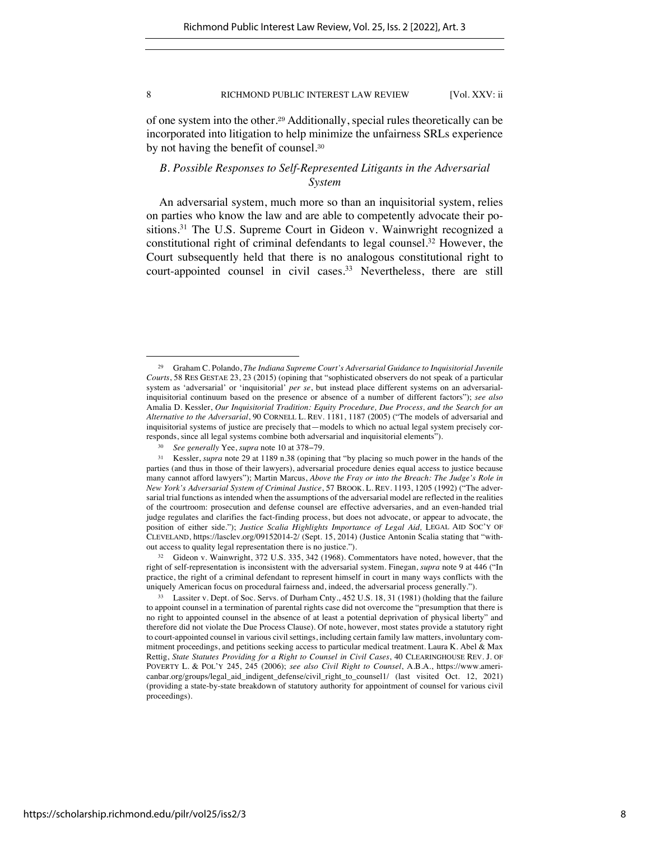of one system into the other.<sup>29</sup> Additionally, special rules theoretically can be incorporated into litigation to help minimize the unfairness SRLs experience by not having the benefit of counsel.<sup>30</sup>

# *B. Possible Responses to Self-Represented Litigants in the Adversarial System*

An adversarial system, much more so than an inquisitorial system, relies on parties who know the law and are able to competently advocate their positions.31 The U.S. Supreme Court in Gideon v. Wainwright recognized a constitutional right of criminal defendants to legal counsel.<sup>32</sup> However, the Court subsequently held that there is no analogous constitutional right to court-appointed counsel in civil cases.<sup>33</sup> Nevertheless, there are still

<sup>29</sup> Graham C. Polando, *The Indiana Supreme Court's Adversarial Guidance to Inquisitorial Juvenile Courts*, 58 RES GESTAE 23, 23 (2015) (opining that "sophisticated observers do not speak of a particular system as 'adversarial' or 'inquisitorial' *per se*, but instead place different systems on an adversarialinquisitorial continuum based on the presence or absence of a number of different factors"); *see also*  Amalia D. Kessler, *Our Inquisitorial Tradition: Equity Procedure, Due Process, and the Search for an Alternative to the Adversarial*, 90 CORNELL L. REV. 1181, 1187 (2005) ("The models of adversarial and inquisitorial systems of justice are precisely that—models to which no actual legal system precisely corresponds, since all legal systems combine both adversarial and inquisitorial elements").

<sup>30</sup> *See generally* Yee, *supra* note 10 at 378−79.

<sup>31</sup> Kessler, *supra* note 29 at 1189 n.38 (opining that "by placing so much power in the hands of the parties (and thus in those of their lawyers), adversarial procedure denies equal access to justice because many cannot afford lawyers"); Martin Marcus, *Above the Fray or into the Breach: The Judge's Role in New York's Adversarial System of Criminal Justice*, 57 BROOK. L. REV. 1193, 1205 (1992) ("The adversarial trial functions as intended when the assumptions of the adversarial model are reflected in the realities of the courtroom: prosecution and defense counsel are effective adversaries, and an even-handed trial judge regulates and clarifies the fact-finding process, but does not advocate, or appear to advocate, the position of either side."); *Justice Scalia Highlights Importance of Legal Aid*, LEGAL AID SOC'Y OF CLEVELAND, https://lasclev.org/09152014-2/ (Sept. 15, 2014) (Justice Antonin Scalia stating that "without access to quality legal representation there is no justice.").

<sup>32</sup> Gideon v. Wainwright, 372 U.S. 335, 342 (1968). Commentators have noted, however, that the right of self-representation is inconsistent with the adversarial system. Finegan, *supra* note 9 at 446 ("In practice, the right of a criminal defendant to represent himself in court in many ways conflicts with the uniquely American focus on procedural fairness and, indeed, the adversarial process generally.").

<sup>33</sup> Lassiter v. Dept. of Soc. Servs. of Durham Cnty., 452 U.S. 18, 31 (1981) (holding that the failure to appoint counsel in a termination of parental rights case did not overcome the "presumption that there is no right to appointed counsel in the absence of at least a potential deprivation of physical liberty" and therefore did not violate the Due Process Clause). Of note, however, most states provide a statutory right to court-appointed counsel in various civil settings, including certain family law matters, involuntary commitment proceedings, and petitions seeking access to particular medical treatment. Laura K. Abel & Max Rettig, *State Statutes Providing for a Right to Counsel in Civil Cases*, 40 CLEARINGHOUSE REV. J. OF POVERTY L. & POL'Y 245, 245 (2006); *see also Civil Right to Counsel*, A.B.A., https://www.americanbar.org/groups/legal\_aid\_indigent\_defense/civil\_right\_to\_counsel1/ (last visited Oct. 12, 2021) (providing a state-by-state breakdown of statutory authority for appointment of counsel for various civil proceedings).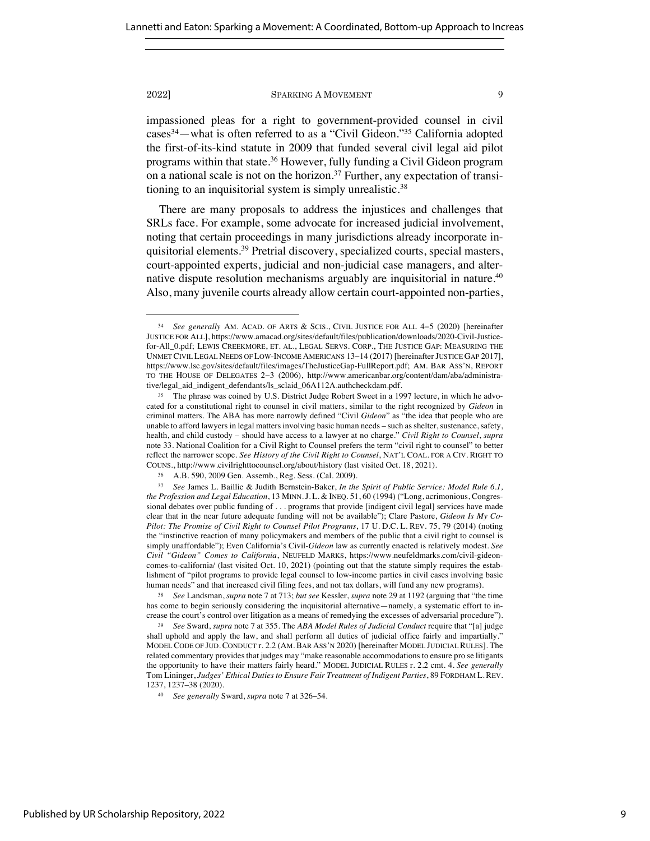impassioned pleas for a right to government-provided counsel in civil cases34—what is often referred to as a "Civil Gideon."35 California adopted the first-of-its-kind statute in 2009 that funded several civil legal aid pilot programs within that state.36 However, fully funding a Civil Gideon program on a national scale is not on the horizon.<sup>37</sup> Further, any expectation of transitioning to an inquisitorial system is simply unrealistic.38

There are many proposals to address the injustices and challenges that SRLs face. For example, some advocate for increased judicial involvement, noting that certain proceedings in many jurisdictions already incorporate inquisitorial elements.39 Pretrial discovery, specialized courts, special masters, court-appointed experts, judicial and non-judicial case managers, and alternative dispute resolution mechanisms arguably are inquisitorial in nature.<sup>40</sup> Also, many juvenile courts already allow certain court-appointed non-parties,

<sup>34</sup> *See generally* AM. ACAD. OF ARTS & SCIS., CIVIL JUSTICE FOR ALL 4−5 (2020) [hereinafter JUSTICE FOR ALL], https://www.amacad.org/sites/default/files/publication/downloads/2020-Civil-Justicefor-All\_0.pdf; LEWIS CREEKMORE, ET. AL., LEGAL SERVS. CORP., THE JUSTICE GAP: MEASURING THE UNMET CIVIL LEGAL NEEDS OF LOW-INCOME AMERICANS 13−14 (2017) [hereinafter JUSTICE GAP 2017], https://www.lsc.gov/sites/default/files/images/TheJusticeGap-FullReport.pdf; AM. BAR ASS'N, REPORT TO THE HOUSE OF DELEGATES 2−3 (2006), http://www.americanbar.org/content/dam/aba/administrative/legal\_aid\_indigent\_defendants/ls\_sclaid\_06A112A.authcheckdam.pdf.

<sup>&</sup>lt;sup>35</sup> The phrase was coined by U.S. District Judge Robert Sweet in a 1997 lecture, in which he advocated for a constitutional right to counsel in civil matters, similar to the right recognized by *Gideon* in criminal matters. The ABA has more narrowly defined "Civil *Gideon*" as "the idea that people who are unable to afford lawyers in legal matters involving basic human needs – such as shelter, sustenance, safety, health, and child custody – should have access to a lawyer at no charge." *Civil Right to Counsel*, *supra*  note 33. National Coalition for a Civil Right to Counsel prefers the term "civil right to counsel" to better reflect the narrower scope. *See History of the Civil Right to Counsel*, NAT'L COAL. FOR A CIV. RIGHT TO COUNS., http://www.civilrighttocounsel.org/about/history (last visited Oct. 18, 2021).

<sup>36</sup> A.B. 590, 2009 Gen. Assemb., Reg. Sess. (Cal. 2009).

<sup>37</sup> *See* James L. Baillie & Judith Bernstein-Baker, *In the Spirit of Public Service: Model Rule 6.1, the Profession and Legal Education*, 13 MINN.J. L. & INEQ. 51, 60 (1994) ("Long, acrimonious, Congressional debates over public funding of . . . programs that provide [indigent civil legal] services have made clear that in the near future adequate funding will not be available"); Clare Pastore, *Gideon Is My Co-Pilot: The Promise of Civil Right to Counsel Pilot Programs*, 17 U. D.C. L. REV. 75, 79 (2014) (noting the "instinctive reaction of many policymakers and members of the public that a civil right to counsel is simply unaffordable"); Even California's Civil-*Gideon* law as currently enacted is relatively modest. *See Civil "Gideon" Comes to California*, NEUFELD MARKS, https://www.neufeldmarks.com/civil-gideoncomes-to-california/ (last visited Oct. 10, 2021) (pointing out that the statute simply requires the establishment of "pilot programs to provide legal counsel to low-income parties in civil cases involving basic human needs" and that increased civil filing fees, and not tax dollars, will fund any new programs).

<sup>38</sup> *See* Landsman, *supra* note 7 at 713; *but see* Kessler, *supra* note 29 at 1192 (arguing that "the time has come to begin seriously considering the inquisitorial alternative—namely, a systematic effort to increase the court's control over litigation as a means of remedying the excesses of adversarial procedure").

<sup>39</sup> *See* Sward, *supra* note 7 at 355. The *ABA Model Rules of Judicial Conduct* require that "[a] judge shall uphold and apply the law, and shall perform all duties of judicial office fairly and impartially." MODEL CODE OF JUD. CONDUCT r. 2.2 (AM. BAR ASS'N 2020) [hereinafter MODEL JUDICIAL RULES]. The related commentary provides that judges may "make reasonable accommodations to ensure pro se litigants the opportunity to have their matters fairly heard." MODEL JUDICIAL RULES r. 2.2 cmt. 4. *See generally* Tom Lininger, *Judges' Ethical Duties to Ensure Fair Treatment of Indigent Parties*, 89 FORDHAM L. REV. 1237, 1237–38 (2020).

<sup>40</sup> *See generally* Sward, *supra* note 7 at 326–54.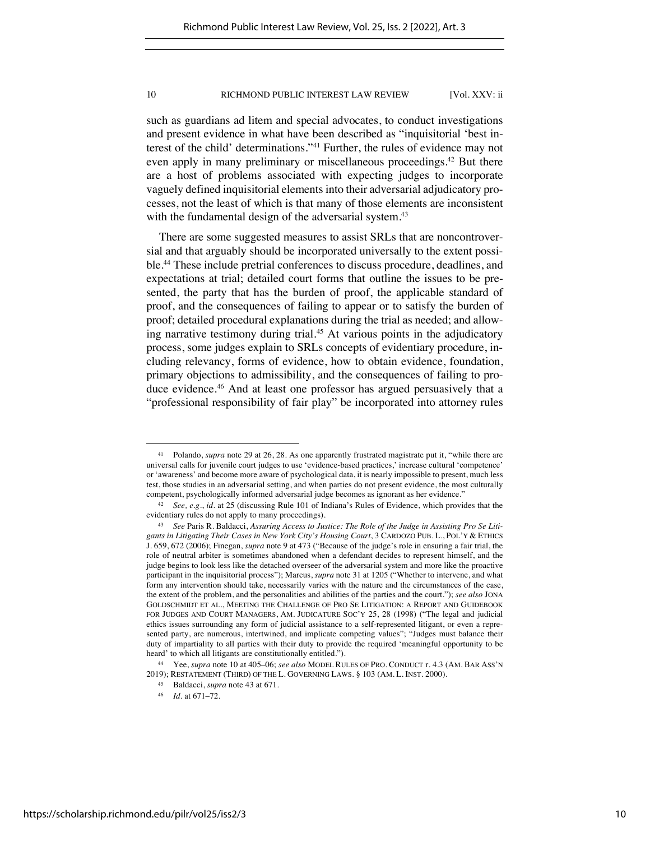such as guardians ad litem and special advocates, to conduct investigations and present evidence in what have been described as "inquisitorial 'best interest of the child' determinations."41 Further, the rules of evidence may not even apply in many preliminary or miscellaneous proceedings.<sup>42</sup> But there are a host of problems associated with expecting judges to incorporate vaguely defined inquisitorial elements into their adversarial adjudicatory processes, not the least of which is that many of those elements are inconsistent with the fundamental design of the adversarial system.<sup>43</sup>

There are some suggested measures to assist SRLs that are noncontroversial and that arguably should be incorporated universally to the extent possible.44 These include pretrial conferences to discuss procedure, deadlines, and expectations at trial; detailed court forms that outline the issues to be presented, the party that has the burden of proof, the applicable standard of proof, and the consequences of failing to appear or to satisfy the burden of proof; detailed procedural explanations during the trial as needed; and allowing narrative testimony during trial.<sup>45</sup> At various points in the adjudicatory process, some judges explain to SRLs concepts of evidentiary procedure, including relevancy, forms of evidence, how to obtain evidence, foundation, primary objections to admissibility, and the consequences of failing to produce evidence.46 And at least one professor has argued persuasively that a "professional responsibility of fair play" be incorporated into attorney rules

<sup>41</sup> Polando, *supra* note 29 at 26, 28. As one apparently frustrated magistrate put it, "while there are universal calls for juvenile court judges to use 'evidence-based practices,' increase cultural 'competence' or 'awareness' and become more aware of psychological data, it is nearly impossible to present, much less test, those studies in an adversarial setting, and when parties do not present evidence, the most culturally competent, psychologically informed adversarial judge becomes as ignorant as her evidence."

<sup>42</sup> *See, e.g.*, *id.* at 25 (discussing Rule 101 of Indiana's Rules of Evidence, which provides that the evidentiary rules do not apply to many proceedings).

<sup>43</sup> *See* Paris R. Baldacci, *Assuring Access to Justice: The Role of the Judge in Assisting Pro Se Litigants in Litigating Their Cases in New York City's Housing Court*, 3 CARDOZO PUB. L., POL'Y & ETHICS J. 659, 672 (2006); Finegan, *supra* note 9 at 473 ("Because of the judge's role in ensuring a fair trial, the role of neutral arbiter is sometimes abandoned when a defendant decides to represent himself, and the judge begins to look less like the detached overseer of the adversarial system and more like the proactive participant in the inquisitorial process"); Marcus, *supra* note 31 at 1205 ("Whether to intervene, and what form any intervention should take, necessarily varies with the nature and the circumstances of the case, the extent of the problem, and the personalities and abilities of the parties and the court."); *see also* JONA GOLDSCHMIDT ET AL., MEETING THE CHALLENGE OF PRO SE LITIGATION: A REPORT AND GUIDEBOOK FOR JUDGES AND COURT MANAGERS, AM. JUDICATURE SOC'Y 25, 28 (1998) ("The legal and judicial ethics issues surrounding any form of judicial assistance to a self-represented litigant, or even a represented party, are numerous, intertwined, and implicate competing values"; "Judges must balance their duty of impartiality to all parties with their duty to provide the required 'meaningful opportunity to be heard' to which all litigants are constitutionally entitled.").

<sup>44</sup> Yee, *supra* note 10 at 405–06; *see also* MODEL RULES OF PRO. CONDUCT r. 4.3 (AM. BAR ASS'N 2019); RESTATEMENT (THIRD) OF THE L. GOVERNING LAWS. § 103 (AM. L. INST. 2000).

<sup>45</sup> Baldacci, *supra* note 43 at 671.

<sup>46</sup> *Id.* at 671–72.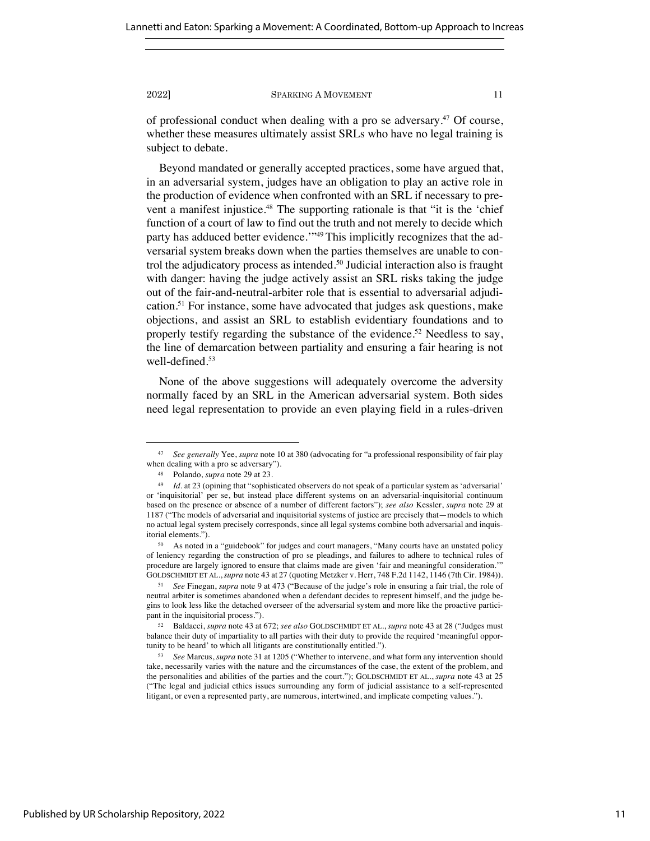of professional conduct when dealing with a pro se adversary.<sup>47</sup> Of course, whether these measures ultimately assist SRLs who have no legal training is subject to debate.

Beyond mandated or generally accepted practices, some have argued that, in an adversarial system, judges have an obligation to play an active role in the production of evidence when confronted with an SRL if necessary to prevent a manifest injustice.<sup>48</sup> The supporting rationale is that "it is the 'chief function of a court of law to find out the truth and not merely to decide which party has adduced better evidence."<sup>49</sup> This implicitly recognizes that the adversarial system breaks down when the parties themselves are unable to control the adjudicatory process as intended.50 Judicial interaction also is fraught with danger: having the judge actively assist an SRL risks taking the judge out of the fair-and-neutral-arbiter role that is essential to adversarial adjudication.51 For instance, some have advocated that judges ask questions, make objections, and assist an SRL to establish evidentiary foundations and to properly testify regarding the substance of the evidence.<sup>52</sup> Needless to say, the line of demarcation between partiality and ensuring a fair hearing is not well-defined.53

None of the above suggestions will adequately overcome the adversity normally faced by an SRL in the American adversarial system. Both sides need legal representation to provide an even playing field in a rules-driven

<sup>47</sup> *See generally* Yee, *supra* note 10 at 380 (advocating for "a professional responsibility of fair play when dealing with a pro se adversary").

<sup>48</sup> Polando, *supra* note 29 at 23.

<sup>&</sup>lt;sup>49</sup> *Id.* at 23 (opining that "sophisticated observers do not speak of a particular system as 'adversarial' or 'inquisitorial' per se, but instead place different systems on an adversarial-inquisitorial continuum based on the presence or absence of a number of different factors"); *see also* Kessler, *supra* note 29 at 1187 ("The models of adversarial and inquisitorial systems of justice are precisely that—models to which no actual legal system precisely corresponds, since all legal systems combine both adversarial and inquisitorial elements.").

<sup>50</sup> As noted in a "guidebook" for judges and court managers, "Many courts have an unstated policy of leniency regarding the construction of pro se pleadings, and failures to adhere to technical rules of procedure are largely ignored to ensure that claims made are given 'fair and meaningful consideration.'" GOLDSCHMIDT ET AL.,*supra* note 43 at 27 (quoting Metzker v. Herr, 748 F.2d 1142, 1146 (7th Cir. 1984)).

<sup>51</sup> *See* Finegan, *supra* note 9 at 473 ("Because of the judge's role in ensuring a fair trial, the role of neutral arbiter is sometimes abandoned when a defendant decides to represent himself, and the judge begins to look less like the detached overseer of the adversarial system and more like the proactive participant in the inquisitorial process.").

<sup>52</sup> Baldacci, *supra* note 43 at 672; *see also* GOLDSCHMIDT ET AL., *supra* note 43 at 28 ("Judges must balance their duty of impartiality to all parties with their duty to provide the required 'meaningful opportunity to be heard' to which all litigants are constitutionally entitled.").

<sup>53</sup> *See* Marcus, *supra* note 31 at 1205 ("Whether to intervene, and what form any intervention should take, necessarily varies with the nature and the circumstances of the case, the extent of the problem, and the personalities and abilities of the parties and the court."); GOLDSCHMIDT ET AL., *supra* note 43 at 25 ("The legal and judicial ethics issues surrounding any form of judicial assistance to a self-represented litigant, or even a represented party, are numerous, intertwined, and implicate competing values.").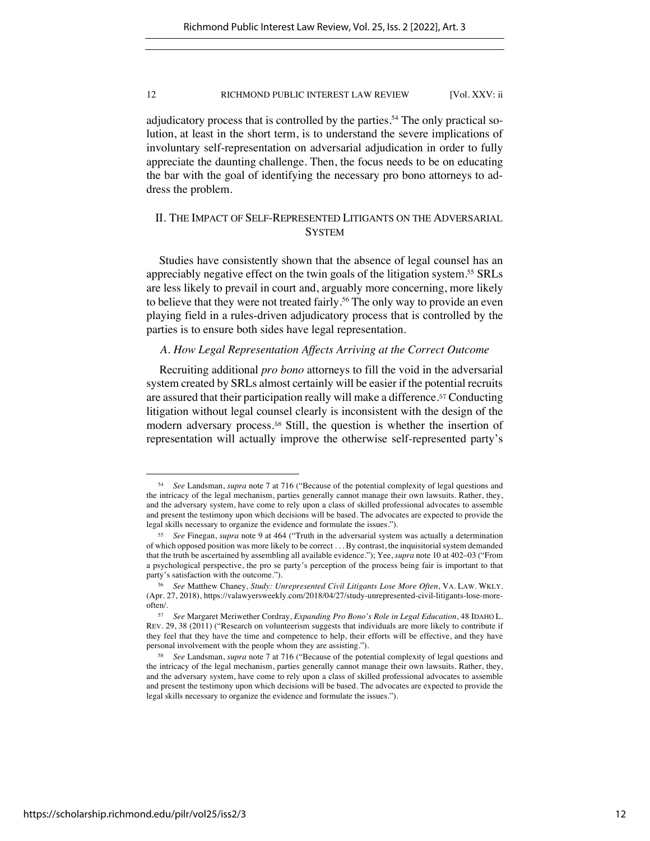adjudicatory process that is controlled by the parties.<sup>54</sup> The only practical solution, at least in the short term, is to understand the severe implications of involuntary self-representation on adversarial adjudication in order to fully appreciate the daunting challenge. Then, the focus needs to be on educating the bar with the goal of identifying the necessary pro bono attorneys to address the problem.

# II. THE IMPACT OF SELF-REPRESENTED LITIGANTS ON THE ADVERSARIAL **SYSTEM**

Studies have consistently shown that the absence of legal counsel has an appreciably negative effect on the twin goals of the litigation system.<sup>55</sup> SRLs are less likely to prevail in court and, arguably more concerning, more likely to believe that they were not treated fairly.<sup>56</sup> The only way to provide an even playing field in a rules-driven adjudicatory process that is controlled by the parties is to ensure both sides have legal representation.

# *A. How Legal Representation Affects Arriving at the Correct Outcome*

Recruiting additional *pro bono* attorneys to fill the void in the adversarial system created by SRLs almost certainly will be easier if the potential recruits are assured that their participation really will make a difference.<sup>57</sup> Conducting litigation without legal counsel clearly is inconsistent with the design of the modern adversary process.<sup>58</sup> Still, the question is whether the insertion of representation will actually improve the otherwise self-represented party's

<sup>54</sup> *See* Landsman, *supra* note 7 at 716 ("Because of the potential complexity of legal questions and the intricacy of the legal mechanism, parties generally cannot manage their own lawsuits. Rather, they, and the adversary system, have come to rely upon a class of skilled professional advocates to assemble and present the testimony upon which decisions will be based. The advocates are expected to provide the legal skills necessary to organize the evidence and formulate the issues.").

<sup>55</sup> *See* Finegan, *supra* note 9 at 464 ("Truth in the adversarial system was actually a determination of which opposed position was more likely to be correct . . . By contrast, the inquisitorial system demanded that the truth be ascertained by assembling all available evidence."); Yee, *supra* note 10 at 402–03 ("From a psychological perspective, the pro se party's perception of the process being fair is important to that party's satisfaction with the outcome.").

<sup>56</sup> *See* Matthew Chaney, *Study: Unrepresented Civil Litigants Lose More Often*, VA. LAW. WKLY. (Apr. 27, 2018), https://valawyersweekly.com/2018/04/27/study-unrepresented-civil-litigants-lose-moreoften/.

<sup>57</sup> *See* Margaret Meriwether Cordray, *Expanding Pro Bono's Role in Legal Education*, 48 IDAHO L. REV. 29, 38 (2011) ("Research on volunteerism suggests that individuals are more likely to contribute if they feel that they have the time and competence to help, their efforts will be effective, and they have personal involvement with the people whom they are assisting.").

<sup>58</sup> *See* Landsman, *supra* note 7 at 716 ("Because of the potential complexity of legal questions and the intricacy of the legal mechanism, parties generally cannot manage their own lawsuits. Rather, they, and the adversary system, have come to rely upon a class of skilled professional advocates to assemble and present the testimony upon which decisions will be based. The advocates are expected to provide the legal skills necessary to organize the evidence and formulate the issues.").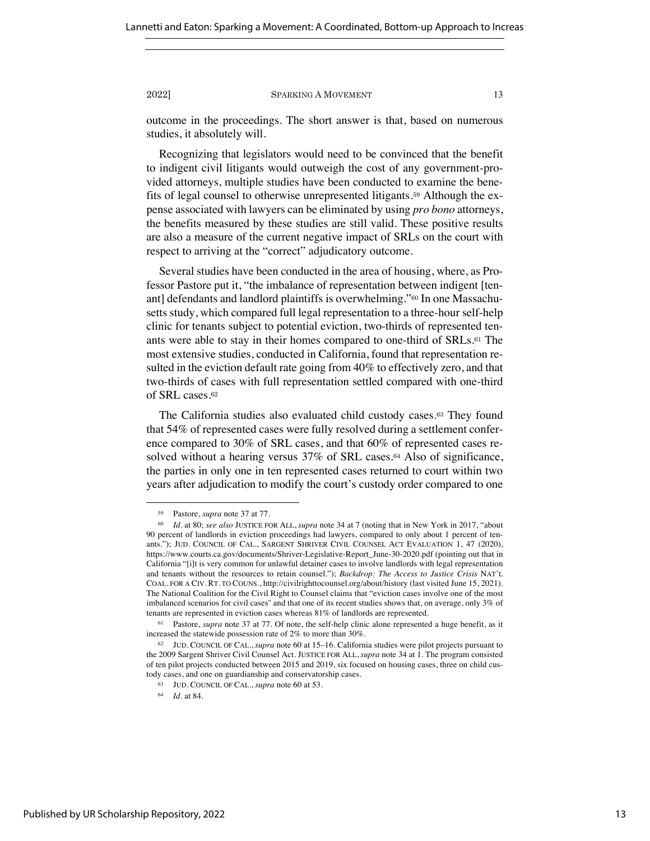outcome in the proceedings. The short answer is that, based on numerous studies, it absolutely will.

Recognizing that legislators would need to be convinced that the benefit to indigent civil litigants would outweigh the cost of any government-provided attorneys, multiple studies have been conducted to examine the benefits of legal counsel to otherwise unrepresented litigants.<sup>59</sup> Although the expense associated with lawyers can be eliminated by using *pro bono* attorneys, the benefits measured by these studies are still valid. These positive results are also a measure of the current negative impact of SRLs on the court with respect to arriving at the "correct" adjudicatory outcome.

Several studies have been conducted in the area of housing, where, as Professor Pastore put it, "the imbalance of representation between indigent [tenant] defendants and landlord plaintiffs is overwhelming."<sup>60</sup> In one Massachusetts study, which compared full legal representation to a three-hour self-help clinic for tenants subject to potential eviction, two-thirds of represented tenants were able to stay in their homes compared to one-third of SRLs.<sup>61</sup> The most extensive studies, conducted in California, found that representation resulted in the eviction default rate going from 40% to effectively zero, and that two-thirds of cases with full representation settled compared with one-third of SRL cases.<sup>62</sup>

The California studies also evaluated child custody cases.<sup>63</sup> They found that 54% of represented cases were fully resolved during a settlement conference compared to 30% of SRL cases, and that 60% of represented cases resolved without a hearing versus 37% of SRL cases.<sup>64</sup> Also of significance, the parties in only one in ten represented cases returned to court within two years after adjudication to modify the court's custody order compared to one

<sup>59</sup> Pastore, *supra* note 37 at 77.

<sup>60</sup> *Id.* at 80; *see also* JUSTICE FOR ALL, *supra* note 34 at 7 (noting that in New York in 2017, "about 90 percent of landlords in eviction proceedings had lawyers, compared to only about 1 percent of tenants."); JUD. COUNCIL OF CAL., SARGENT SHRIVER CIVIL COUNSEL ACT EVALUATION 1, 47 (2020), https://www.courts.ca.gov/documents/Shriver-Legislative-Report\_June-30-2020.pdf (pointing out that in California "[i]t is very common for unlawful detainer cases to involve landlords with legal representation and tenants without the resources to retain counsel."); *Backdrop: The Access to Justice Crisis* NAT'L COAL. FOR A CIV. RT. TO COUNS., http://civilrighttocounsel.org/about/history (last visited June 15, 2021). The National Coalition for the Civil Right to Counsel claims that "eviction cases involve one of the most imbalanced scenarios for civil cases'' and that one of its recent studies shows that, on average, only 3% of tenants are represented in eviction cases whereas 81% of landlords are represented.

<sup>61</sup> Pastore, *supra* note 37 at 77. Of note, the self-help clinic alone represented a huge benefit, as it increased the statewide possession rate of 2% to more than 30%.

<sup>62</sup> JUD. COUNCIL OF CAL., *supra* note 60 at 15–16. California studies were pilot projects pursuant to the 2009 Sargent Shriver Civil Counsel Act. JUSTICE FOR ALL, *supra* note 34 at 1. The program consisted of ten pilot projects conducted between 2015 and 2019, six focused on housing cases, three on child custody cases, and one on guardianship and conservatorship cases.

<sup>63</sup> JUD. COUNCIL OF CAL., *supra* note 60 at 53.

<sup>64</sup> *Id.* at 84.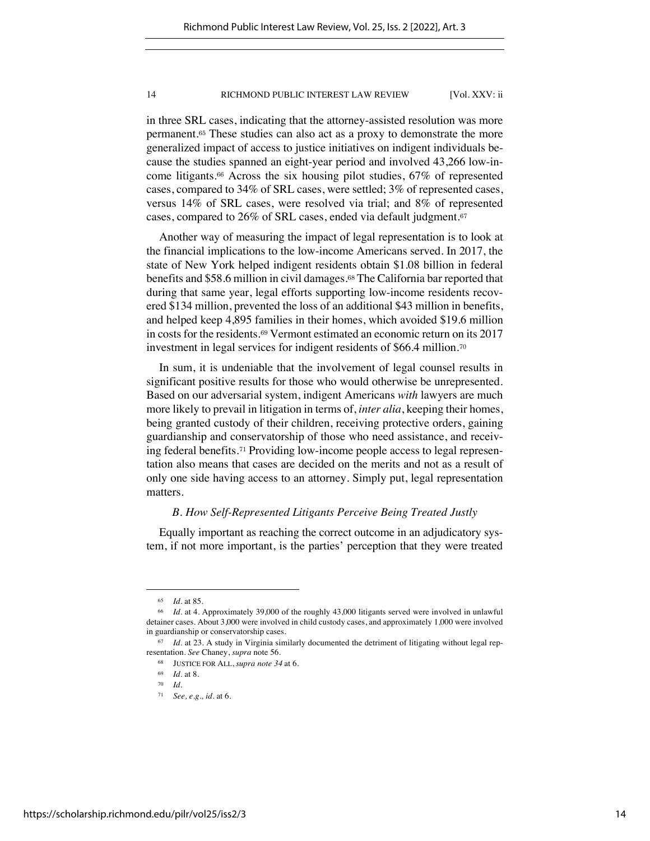in three SRL cases, indicating that the attorney-assisted resolution was more permanent.<sup>65</sup> These studies can also act as a proxy to demonstrate the more generalized impact of access to justice initiatives on indigent individuals because the studies spanned an eight-year period and involved 43,266 low-income litigants.<sup>66</sup> Across the six housing pilot studies, 67% of represented cases, compared to 34% of SRL cases, were settled; 3% of represented cases, versus 14% of SRL cases, were resolved via trial; and 8% of represented cases, compared to 26% of SRL cases, ended via default judgment.<sup>67</sup>

Another way of measuring the impact of legal representation is to look at the financial implications to the low-income Americans served. In 2017, the state of New York helped indigent residents obtain \$1.08 billion in federal benefits and \$58.6 million in civil damages.<sup>68</sup> The California bar reported that during that same year, legal efforts supporting low-income residents recovered \$134 million, prevented the loss of an additional \$43 million in benefits, and helped keep 4,895 families in their homes, which avoided \$19.6 million in costs for the residents.<sup>69</sup> Vermont estimated an economic return on its 2017 investment in legal services for indigent residents of \$66.4 million.<sup>70</sup>

In sum, it is undeniable that the involvement of legal counsel results in significant positive results for those who would otherwise be unrepresented. Based on our adversarial system, indigent Americans *with* lawyers are much more likely to prevail in litigation in terms of, *inter alia*, keeping their homes, being granted custody of their children, receiving protective orders, gaining guardianship and conservatorship of those who need assistance, and receiving federal benefits.<sup>71</sup> Providing low-income people access to legal representation also means that cases are decided on the merits and not as a result of only one side having access to an attorney. Simply put, legal representation matters.

### *B. How Self-Represented Litigants Perceive Being Treated Justly*

Equally important as reaching the correct outcome in an adjudicatory system, if not more important, is the parties' perception that they were treated

<sup>65</sup> *Id.* at 85.

<sup>66</sup> *Id.* at 4. Approximately 39,000 of the roughly 43,000 litigants served were involved in unlawful detainer cases. About 3,000 were involved in child custody cases, and approximately 1,000 were involved in guardianship or conservatorship cases.

<sup>67</sup> *Id.* at 23. A study in Virginia similarly documented the detriment of litigating without legal representation. *See* Chaney, *supra* note 56.

<sup>68</sup> JUSTICE FOR ALL, *supra note 34* at 6.

<sup>69</sup> *Id.* at 8.

<sup>70</sup> *Id.*

<sup>71</sup> *See, e.g., id.* at 6.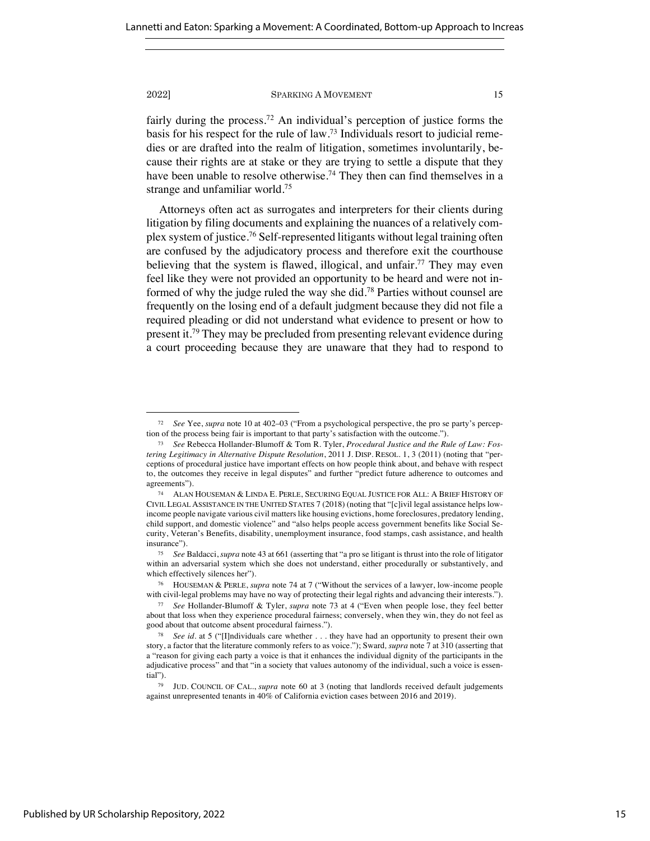fairly during the process.<sup>72</sup> An individual's perception of justice forms the basis for his respect for the rule of law.73 Individuals resort to judicial remedies or are drafted into the realm of litigation, sometimes involuntarily, because their rights are at stake or they are trying to settle a dispute that they have been unable to resolve otherwise.<sup>74</sup> They then can find themselves in a strange and unfamiliar world.75

Attorneys often act as surrogates and interpreters for their clients during litigation by filing documents and explaining the nuances of a relatively complex system of justice.76 Self-represented litigants without legal training often are confused by the adjudicatory process and therefore exit the courthouse believing that the system is flawed, illogical, and unfair.<sup>77</sup> They may even feel like they were not provided an opportunity to be heard and were not informed of why the judge ruled the way she did.78 Parties without counsel are frequently on the losing end of a default judgment because they did not file a required pleading or did not understand what evidence to present or how to present it.79 They may be precluded from presenting relevant evidence during a court proceeding because they are unaware that they had to respond to

<sup>72</sup> *See* Yee, *supra* note 10 at 402–03 ("From a psychological perspective, the pro se party's perception of the process being fair is important to that party's satisfaction with the outcome.").

<sup>73</sup> *See* Rebecca Hollander-Blumoff & Tom R. Tyler, *Procedural Justice and the Rule of Law: Fostering Legitimacy in Alternative Dispute Resolution*, 2011 J. DISP. RESOL. 1, 3 (2011) (noting that "perceptions of procedural justice have important effects on how people think about, and behave with respect to, the outcomes they receive in legal disputes" and further "predict future adherence to outcomes and agreements").

<sup>74</sup> ALAN HOUSEMAN & LINDA E. PERLE, SECURING EQUAL JUSTICE FOR ALL: A BRIEF HISTORY OF CIVIL LEGAL ASSISTANCE IN THE UNITED STATES 7 (2018) (noting that "[c]ivil legal assistance helps lowincome people navigate various civil matters like housing evictions, home foreclosures, predatory lending, child support, and domestic violence" and "also helps people access government benefits like Social Security, Veteran's Benefits, disability, unemployment insurance, food stamps, cash assistance, and health insurance").

<sup>75</sup> *See* Baldacci, *supra* note 43 at 661 (asserting that "a pro se litigant is thrust into the role of litigator within an adversarial system which she does not understand, either procedurally or substantively, and which effectively silences her").

<sup>76</sup> HOUSEMAN & PERLE, *supra* note 74 at 7 ("Without the services of a lawyer, low-income people with civil-legal problems may have no way of protecting their legal rights and advancing their interests.").

<sup>77</sup> *See* Hollander-Blumoff & Tyler, *supra* note 73 at 4 ("Even when people lose, they feel better about that loss when they experience procedural fairness; conversely, when they win, they do not feel as good about that outcome absent procedural fairness.").

<sup>78</sup> *See id.* at 5 ("[I]ndividuals care whether . . . they have had an opportunity to present their own story, a factor that the literature commonly refers to as voice."); Sward*, supra* note 7 at 310 (asserting that a "reason for giving each party a voice is that it enhances the individual dignity of the participants in the adjudicative process" and that "in a society that values autonomy of the individual, such a voice is essential").

<sup>79</sup> JUD. COUNCIL OF CAL., *supra* note 60 at 3 (noting that landlords received default judgements against unrepresented tenants in 40% of California eviction cases between 2016 and 2019).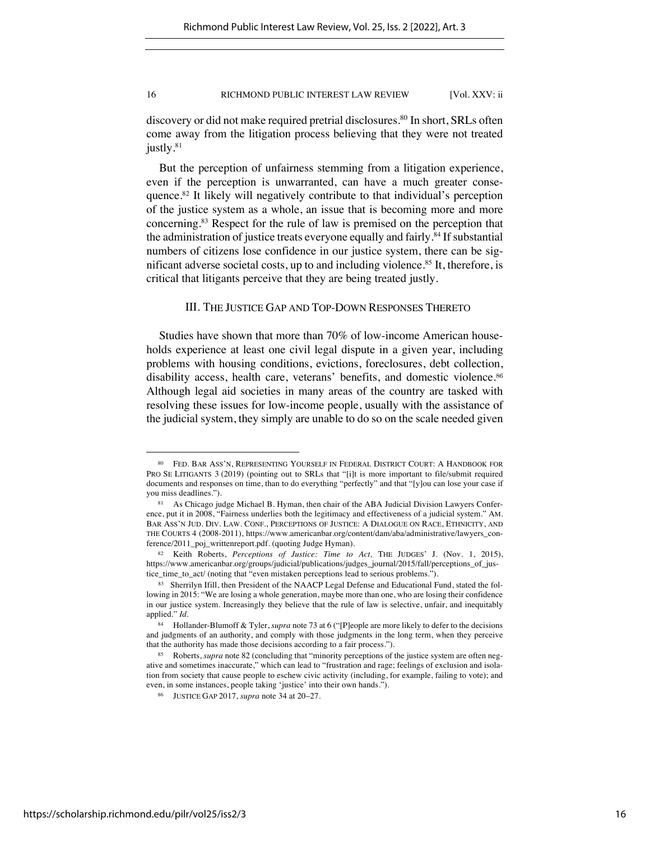discovery or did not make required pretrial disclosures.<sup>80</sup> In short, SRLs often come away from the litigation process believing that they were not treated justly.<sup>81</sup>

But the perception of unfairness stemming from a litigation experience, even if the perception is unwarranted, can have a much greater consequence.82 It likely will negatively contribute to that individual's perception of the justice system as a whole, an issue that is becoming more and more concerning.83 Respect for the rule of law is premised on the perception that the administration of justice treats everyone equally and fairly.<sup>84</sup> If substantial numbers of citizens lose confidence in our justice system, there can be significant adverse societal costs, up to and including violence.<sup>85</sup> It, therefore, is critical that litigants perceive that they are being treated justly.

### III. THE JUSTICE GAP AND TOP-DOWN RESPONSES THERETO

Studies have shown that more than 70% of low-income American households experience at least one civil legal dispute in a given year, including problems with housing conditions, evictions, foreclosures, debt collection, disability access, health care, veterans' benefits, and domestic violence.<sup>86</sup> Although legal aid societies in many areas of the country are tasked with resolving these issues for low-income people, usually with the assistance of the judicial system, they simply are unable to do so on the scale needed given

<sup>80</sup> FED. BAR ASS'N, REPRESENTING YOURSELF IN FEDERAL DISTRICT COURT: A HANDBOOK FOR PRO SE LITIGANTS 3 (2019) (pointing out to SRLs that "[i]t is more important to file/submit required documents and responses on time, than to do everything "perfectly" and that "[y]ou can lose your case if you miss deadlines.").

<sup>81</sup> As Chicago judge Michael B. Hyman, then chair of the ABA Judicial Division Lawyers Conference, put it in 2008, "Fairness underlies both the legitimacy and effectiveness of a judicial system." AM. BAR ASS'N JUD. DIV. LAW. CONF., PERCEPTIONS OF JUSTICE: A DIALOGUE ON RACE, ETHNICITY, AND THE COURTS 4 (2008-2011), https://www.americanbar.org/content/dam/aba/administrative/lawyers\_conference/2011\_poj\_writtenreport.pdf. (quoting Judge Hyman).

<sup>82</sup> Keith Roberts, *Perceptions of Justice: Time to Act,* THE JUDGES' J. (Nov. 1, 2015), https://www.americanbar.org/groups/judicial/publications/judges\_journal/2015/fall/perceptions\_of\_justice\_time\_to\_act/ (noting that "even mistaken perceptions lead to serious problems.").

<sup>83</sup> Sherrilyn Ifill, then President of the NAACP Legal Defense and Educational Fund, stated the following in 2015: "We are losing a whole generation, maybe more than one, who are losing their confidence in our justice system. Increasingly they believe that the rule of law is selective, unfair, and inequitably applied." *Id.*

<sup>84</sup> Hollander-Blumoff & Tyler, *supra* note 73 at 6 ("[P]eople are more likely to defer to the decisions and judgments of an authority, and comply with those judgments in the long term, when they perceive that the authority has made those decisions according to a fair process.").

<sup>85</sup> Roberts, *supra* note 82 (concluding that "minority perceptions of the justice system are often negative and sometimes inaccurate," which can lead to "frustration and rage; feelings of exclusion and isolation from society that cause people to eschew civic activity (including, for example, failing to vote); and even, in some instances, people taking 'justice' into their own hands.").

<sup>86</sup> JUSTICE GAP 2017, *supra* note 34 at 20–27.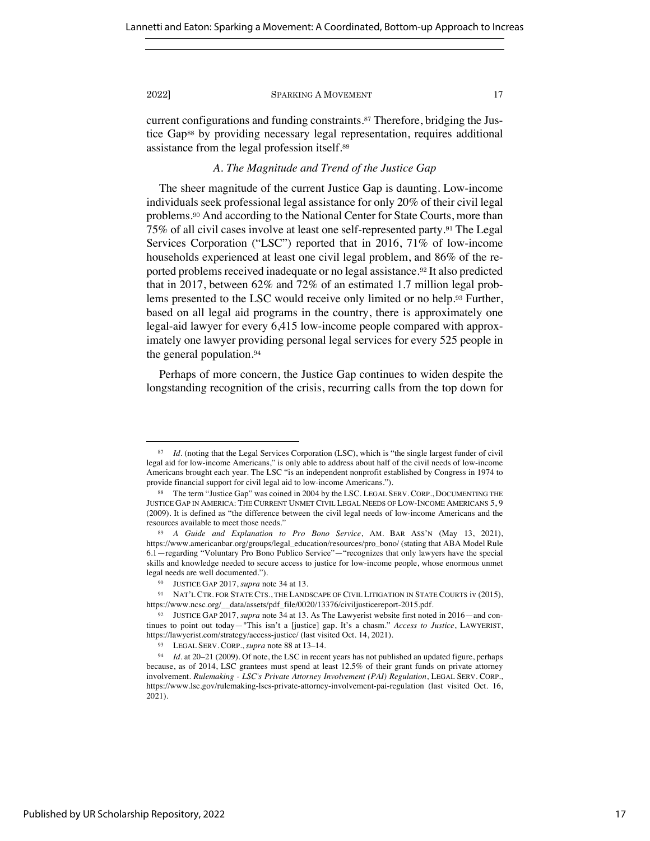current configurations and funding constraints.<sup>87</sup> Therefore, bridging the Justice Gap<sup>88</sup> by providing necessary legal representation, requires additional assistance from the legal profession itself.<sup>89</sup>

# *A. The Magnitude and Trend of the Justice Gap*

The sheer magnitude of the current Justice Gap is daunting. Low-income individuals seek professional legal assistance for only 20% of their civil legal problems.<sup>90</sup> And according to the National Center for State Courts, more than 75% of all civil cases involve at least one self-represented party.<sup>91</sup> The Legal Services Corporation ("LSC") reported that in 2016, 71% of low-income households experienced at least one civil legal problem, and 86% of the reported problems received inadequate or no legal assistance.<sup>92</sup> It also predicted that in 2017, between 62% and 72% of an estimated 1.7 million legal problems presented to the LSC would receive only limited or no help.<sup>93</sup> Further, based on all legal aid programs in the country, there is approximately one legal-aid lawyer for every 6,415 low-income people compared with approximately one lawyer providing personal legal services for every 525 people in the general population.<sup>94</sup>

Perhaps of more concern, the Justice Gap continues to widen despite the longstanding recognition of the crisis, recurring calls from the top down for

<sup>87</sup> *Id.* (noting that the Legal Services Corporation (LSC), which is "the single largest funder of civil legal aid for low-income Americans," is only able to address about half of the civil needs of low-income Americans brought each year. The LSC "is an independent nonprofit established by Congress in 1974 to provide financial support for civil legal aid to low-income Americans.").

<sup>88</sup> The term "Justice Gap" was coined in 2004 by the LSC. LEGAL SERV. CORP., DOCUMENTING THE JUSTICE GAP IN AMERICA: THE CURRENT UNMET CIVIL LEGAL NEEDS OF LOW-INCOME AMERICANS 5, 9 (2009). It is defined as "the difference between the civil legal needs of low-income Americans and the resources available to meet those needs."

<sup>89</sup> *A Guide and Explanation to Pro Bono Service*, AM. BAR ASS'N (May 13, 2021), https://www.americanbar.org/groups/legal\_education/resources/pro\_bono/ (stating that ABA Model Rule 6.1—regarding "Voluntary Pro Bono Publico Service"—"recognizes that only lawyers have the special skills and knowledge needed to secure access to justice for low-income people, whose enormous unmet legal needs are well documented.").

<sup>90</sup> JUSTICE GAP 2017, *supra* note 34 at 13.

<sup>91</sup> NAT'L CTR. FOR STATE CTS., THE LANDSCAPE OF CIVIL LITIGATION IN STATE COURTS iv (2015), https://www.ncsc.org/\_\_data/assets/pdf\_file/0020/13376/civiljusticereport-2015.pdf.

<sup>92</sup> JUSTICE GAP 2017, *supra* note 34 at 13. As The Lawyerist website first noted in 2016—and continues to point out today—"This isn't a [justice] gap. It's a chasm." *Access to Justice*, LAWYERIST, https://lawyerist.com/strategy/access-justice/ (last visited Oct. 14, 2021).

<sup>93</sup> LEGAL SERV. CORP., *supra* note 88 at 13–14.

<sup>94</sup> *Id.* at 20–21 (2009). Of note, the LSC in recent years has not published an updated figure, perhaps because, as of 2014, LSC grantees must spend at least 12.5% of their grant funds on private attorney involvement. *Rulemaking - LSC's Private Attorney Involvement (PAI) Regulation*, LEGAL SERV. CORP., https://www.lsc.gov/rulemaking-lscs-private-attorney-involvement-pai-regulation (last visited Oct. 16, 2021).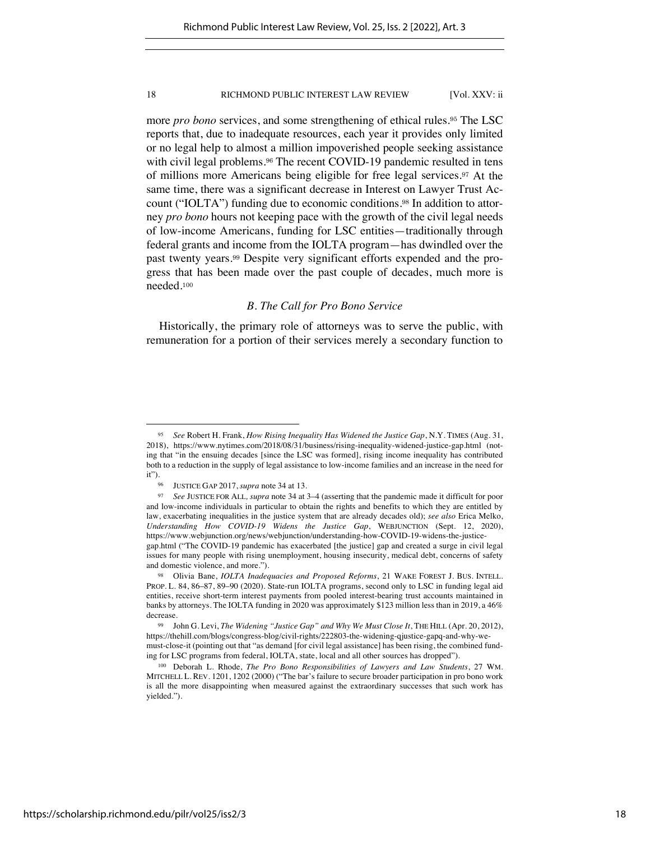more *pro bono* services, and some strengthening of ethical rules.<sup>95</sup> The LSC reports that, due to inadequate resources, each year it provides only limited or no legal help to almost a million impoverished people seeking assistance with civil legal problems.<sup>96</sup> The recent COVID-19 pandemic resulted in tens of millions more Americans being eligible for free legal services.<sup>97</sup> At the same time, there was a significant decrease in Interest on Lawyer Trust Account ("IOLTA") funding due to economic conditions.<sup>98</sup> In addition to attorney *pro bono* hours not keeping pace with the growth of the civil legal needs of low-income Americans, funding for LSC entities—traditionally through federal grants and income from the IOLTA program—has dwindled over the past twenty years.<sup>99</sup> Despite very significant efforts expended and the progress that has been made over the past couple of decades, much more is needed.<sup>100</sup>

# *B. The Call for Pro Bono Service*

Historically, the primary role of attorneys was to serve the public, with remuneration for a portion of their services merely a secondary function to

<sup>95</sup> *See* Robert H. Frank, *How Rising Inequality Has Widened the Justice Gap*, N.Y. TIMES (Aug. 31, 2018), https://www.nytimes.com/2018/08/31/business/rising-inequality-widened-justice-gap.html (noting that "in the ensuing decades [since the LSC was formed], rising income inequality has contributed both to a reduction in the supply of legal assistance to low-income families and an increase in the need for it").

<sup>96</sup> JUSTICE GAP 2017, *supra* note 34 at 13.

<sup>97</sup> *See* JUSTICE FOR ALL*, supra* note 34 at 3–4 (asserting that the pandemic made it difficult for poor and low-income individuals in particular to obtain the rights and benefits to which they are entitled by law, exacerbating inequalities in the justice system that are already decades old); *see also* Erica Melko, *Understanding How COVID-19 Widens the Justice Gap*, WEBJUNCTION (Sept. 12, 2020), https://www.webjunction.org/news/webjunction/understanding-how-COVID-19-widens-the-justicegap.html ("The COVID-19 pandemic has exacerbated [the justice] gap and created a surge in civil legal issues for many people with rising unemployment, housing insecurity, medical debt, concerns of safety and domestic violence, and more.").

<sup>98</sup> Olivia Bane, *IOLTA Inadequacies and Proposed Reforms*, 21 WAKE FOREST J. BUS. INTELL. PROP. L. 84, 86–87, 89–90 (2020). State-run IOLTA programs, second only to LSC in funding legal aid entities, receive short-term interest payments from pooled interest-bearing trust accounts maintained in banks by attorneys. The IOLTA funding in 2020 was approximately \$123 million less than in 2019, a 46% decrease.

<sup>99</sup> John G. Levi, *The Widening "Justice Gap" and Why We Must Close It*, THE HILL (Apr. 20, 2012), https://thehill.com/blogs/congress-blog/civil-rights/222803-the-widening-qjustice-gapq-and-why-wemust-close-it (pointing out that "as demand [for civil legal assistance] has been rising, the combined funding for LSC programs from federal, IOLTA, state, local and all other sources has dropped").

<sup>100</sup> Deborah L. Rhode, *The Pro Bono Responsibilities of Lawyers and Law Students*, 27 WM. MITCHELL L. REV. 1201, 1202 (2000) ("The bar's failure to secure broader participation in pro bono work is all the more disappointing when measured against the extraordinary successes that such work has yielded.").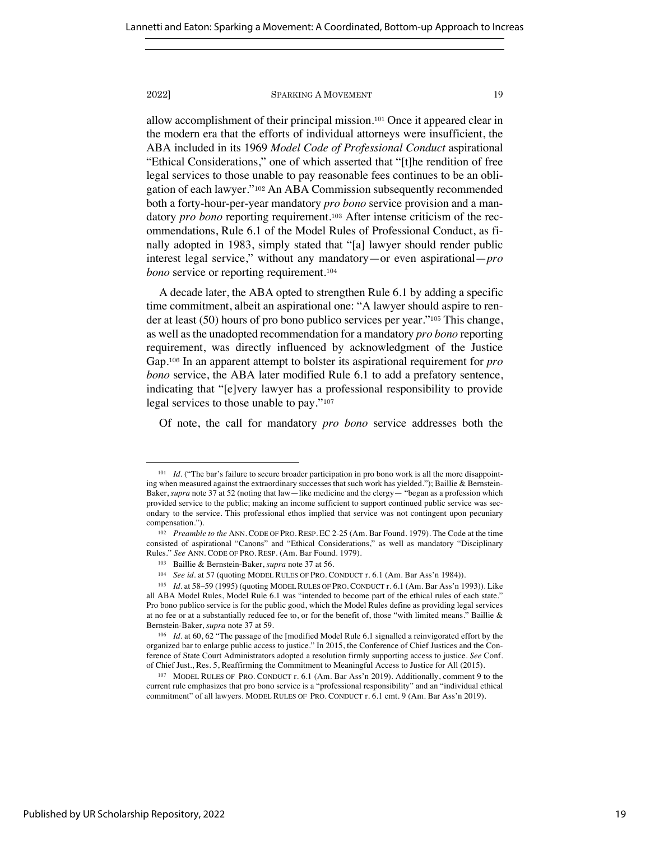allow accomplishment of their principal mission.<sup>101</sup> Once it appeared clear in the modern era that the efforts of individual attorneys were insufficient, the ABA included in its 1969 *Model Code of Professional Conduct* aspirational "Ethical Considerations," one of which asserted that "[t]he rendition of free legal services to those unable to pay reasonable fees continues to be an obligation of each lawyer."<sup>102</sup> An ABA Commission subsequently recommended both a forty-hour-per-year mandatory *pro bono* service provision and a mandatory *pro bono* reporting requirement.<sup>103</sup> After intense criticism of the recommendations, Rule 6.1 of the Model Rules of Professional Conduct, as finally adopted in 1983, simply stated that "[a] lawyer should render public interest legal service," without any mandatory—or even aspirational—*pro bono* service or reporting requirement.<sup>104</sup>

A decade later, the ABA opted to strengthen Rule 6.1 by adding a specific time commitment, albeit an aspirational one: "A lawyer should aspire to render at least (50) hours of pro bono publico services per year."<sup>105</sup> This change, as well as the unadopted recommendation for a mandatory *pro bono* reporting requirement, was directly influenced by acknowledgment of the Justice Gap.<sup>106</sup> In an apparent attempt to bolster its aspirational requirement for *pro bono* service, the ABA later modified Rule 6.1 to add a prefatory sentence, indicating that "[e]very lawyer has a professional responsibility to provide legal services to those unable to pay."<sup>107</sup>

Of note, the call for mandatory *pro bono* service addresses both the

<sup>&</sup>lt;sup>101</sup> *Id.* ("The bar's failure to secure broader participation in pro bono work is all the more disappointing when measured against the extraordinary successes that such work has yielded."); Baillie & Bernstein-Baker, *supra* note 37 at 52 (noting that law—like medicine and the clergy— "began as a profession which provided service to the public; making an income sufficient to support continued public service was secondary to the service. This professional ethos implied that service was not contingent upon pecuniary compensation.").

<sup>102</sup> *Preamble to the* ANN. CODE OF PRO. RESP. EC 2-25 (Am. Bar Found. 1979). The Code at the time consisted of aspirational "Canons" and "Ethical Considerations," as well as mandatory "Disciplinary Rules." *See* ANN. CODE OF PRO. RESP. (Am. Bar Found. 1979).

<sup>103</sup> Baillie & Bernstein-Baker, *supra* note 37 at 56.

<sup>104</sup> *See id.* at 57 (quoting MODEL RULES OF PRO. CONDUCT r. 6.1 (Am. Bar Ass'n 1984)).

<sup>105</sup> *Id*. at 58–59 (1995) (quoting MODEL RULES OF PRO. CONDUCT r. 6.1 (Am. Bar Ass'n 1993)). Like all ABA Model Rules, Model Rule 6.1 was "intended to become part of the ethical rules of each state." Pro bono publico service is for the public good, which the Model Rules define as providing legal services at no fee or at a substantially reduced fee to, or for the benefit of, those "with limited means." Baillie & Bernstein-Baker, *supra* note 37 at 59.

<sup>106</sup> *Id.* at 60, 62 "The passage of the [modified Model Rule 6.1 signalled a reinvigorated effort by the organized bar to enlarge public access to justice." In 2015, the Conference of Chief Justices and the Conference of State Court Administrators adopted a resolution firmly supporting access to justice. *See* Conf. of Chief Just., Res. 5, Reaffirming the Commitment to Meaningful Access to Justice for All (2015).

<sup>107</sup> MODEL RULES OF PRO. CONDUCT r. 6.1 (Am. Bar Ass'n 2019). Additionally, comment 9 to the current rule emphasizes that pro bono service is a "professional responsibility" and an "individual ethical commitment" of all lawyers. MODEL RULES OF PRO. CONDUCT r. 6.1 cmt. 9 (Am. Bar Ass'n 2019).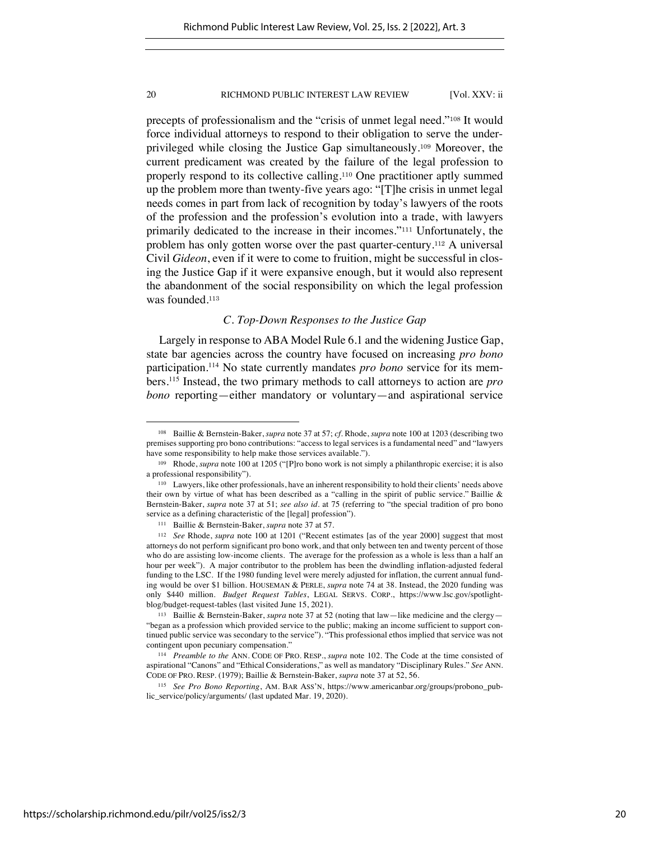precepts of professionalism and the "crisis of unmet legal need."<sup>108</sup> It would force individual attorneys to respond to their obligation to serve the underprivileged while closing the Justice Gap simultaneously.<sup>109</sup> Moreover, the current predicament was created by the failure of the legal profession to properly respond to its collective calling.<sup>110</sup> One practitioner aptly summed up the problem more than twenty-five years ago: "[T]he crisis in unmet legal needs comes in part from lack of recognition by today's lawyers of the roots of the profession and the profession's evolution into a trade, with lawyers primarily dedicated to the increase in their incomes."<sup>111</sup> Unfortunately, the problem has only gotten worse over the past quarter-century.<sup>112</sup> A universal Civil *Gideon*, even if it were to come to fruition, might be successful in closing the Justice Gap if it were expansive enough, but it would also represent the abandonment of the social responsibility on which the legal profession was founded.<sup>113</sup>

# *C. Top-Down Responses to the Justice Gap*

Largely in response to ABA Model Rule 6.1 and the widening Justice Gap, state bar agencies across the country have focused on increasing *pro bono* participation.114 No state currently mandates *pro bono* service for its members. <sup>115</sup> Instead, the two primary methods to call attorneys to action are *pro bono* reporting—either mandatory or voluntary—and aspirational service

<sup>108</sup> Baillie & Bernstein-Baker, *supra* note 37 at 57; *cf*. Rhode, *supra* note 100 at 1203 (describing two premises supporting pro bono contributions: "access to legal services is a fundamental need" and "lawyers have some responsibility to help make those services available.").

<sup>109</sup> Rhode, *supra* note 100 at 1205 ("[P]ro bono work is not simply a philanthropic exercise; it is also a professional responsibility").

<sup>110</sup> Lawyers, like other professionals, have an inherent responsibility to hold their clients' needs above their own by virtue of what has been described as a "calling in the spirit of public service." Baillie & Bernstein-Baker, *supra* note 37 at 51; *see also id.* at 75 (referring to "the special tradition of pro bono service as a defining characteristic of the [legal] profession").

<sup>111</sup> Baillie & Bernstein-Baker, *supra* note 37 at 57.

<sup>112</sup> *See* Rhode, *supra* note 100 at 1201 ("Recent estimates [as of the year 2000] suggest that most attorneys do not perform significant pro bono work, and that only between ten and twenty percent of those who do are assisting low-income clients. The average for the profession as a whole is less than a half an hour per week"). A major contributor to the problem has been the dwindling inflation-adjusted federal funding to the LSC. If the 1980 funding level were merely adjusted for inflation, the current annual funding would be over \$1 billion. HOUSEMAN & PERLE, *supra* note 74 at 38. Instead, the 2020 funding was only \$440 million. *Budget Request Tables*, LEGAL SERVS. CORP., https://www.lsc.gov/spotlightblog/budget-request-tables (last visited June 15, 2021).

<sup>113</sup> Baillie & Bernstein-Baker, *supra* note 37 at 52 (noting that law—like medicine and the clergy— "began as a profession which provided service to the public; making an income sufficient to support continued public service was secondary to the service"). "This professional ethos implied that service was not contingent upon pecuniary compensation."

<sup>114</sup> *Preamble to the* ANN. CODE OF PRO. RESP., *supra* note 102. The Code at the time consisted of aspirational "Canons" and "Ethical Considerations," as well as mandatory "Disciplinary Rules." *See* ANN. CODE OF PRO. RESP. (1979); Baillie & Bernstein-Baker, *supra* note 37 at 52, 56.

<sup>115</sup> *See Pro Bono Reporting*, AM. BAR ASS'N, https://www.americanbar.org/groups/probono\_public\_service/policy/arguments/ (last updated Mar. 19, 2020).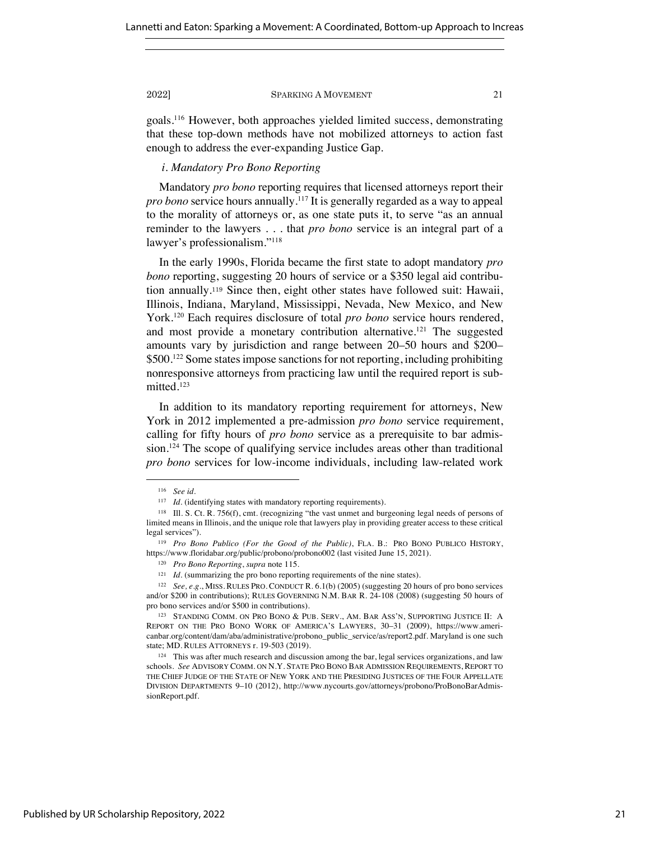goals. <sup>116</sup> However, both approaches yielded limited success, demonstrating that these top-down methods have not mobilized attorneys to action fast enough to address the ever-expanding Justice Gap.

# *i. Mandatory Pro Bono Reporting*

Mandatory *pro bono* reporting requires that licensed attorneys report their *pro bono* service hours annually. <sup>117</sup> It is generally regarded as a way to appeal to the morality of attorneys or, as one state puts it, to serve "as an annual reminder to the lawyers . . . that *pro bono* service is an integral part of a lawyer's professionalism."118

In the early 1990s, Florida became the first state to adopt mandatory *pro bono* reporting, suggesting 20 hours of service or a \$350 legal aid contribution annually.<sup>119</sup> Since then, eight other states have followed suit: Hawaii, Illinois, Indiana, Maryland, Mississippi, Nevada, New Mexico, and New York.120 Each requires disclosure of total *pro bono* service hours rendered, and most provide a monetary contribution alternative. <sup>121</sup> The suggested amounts vary by jurisdiction and range between 20–50 hours and \$200– \$500.122 Some states impose sanctions for not reporting, including prohibiting nonresponsive attorneys from practicing law until the required report is submitted. 123

In addition to its mandatory reporting requirement for attorneys, New York in 2012 implemented a pre-admission *pro bono* service requirement, calling for fifty hours of *pro bono* service as a prerequisite to bar admission.124 The scope of qualifying service includes areas other than traditional *pro bono* services for low-income individuals, including law-related work

<sup>116</sup> *See id.*

<sup>&</sup>lt;sup>117</sup> *Id.* (identifying states with mandatory reporting requirements).

<sup>118</sup> Ill. S. Ct. R. 756(f), cmt. (recognizing "the vast unmet and burgeoning legal needs of persons of limited means in Illinois, and the unique role that lawyers play in providing greater access to these critical legal services").

<sup>119</sup> *Pro Bono Publico (For the Good of the Public)*, FLA. B.: PRO BONO PUBLICO HISTORY, https://www.floridabar.org/public/probono/probono002 (last visited June 15, 2021).

<sup>120</sup> *Pro Bono Reporting*, *supra* note 115.

<sup>&</sup>lt;sup>121</sup> *Id.* (summarizing the pro bono reporting requirements of the nine states).

<sup>122</sup> *See, e.g.*, MISS. RULES PRO. CONDUCT R. 6.1(b) (2005) (suggesting 20 hours of pro bono services and/or \$200 in contributions); RULES GOVERNING N.M. BAR R. 24-108 (2008) (suggesting 50 hours of pro bono services and/or \$500 in contributions).

<sup>123</sup> STANDING COMM. ON PRO BONO & PUB. SERV., AM. BAR ASS'N, SUPPORTING JUSTICE II: A REPORT ON THE PRO BONO WORK OF AMERICA'S LAWYERS, 30–31 (2009), https://www.americanbar.org/content/dam/aba/administrative/probono\_public\_service/as/report2.pdf. Maryland is one such state; MD. RULES ATTORNEYS r. 19-503 (2019).

<sup>124</sup> This was after much research and discussion among the bar, legal services organizations, and law schools. *See* ADVISORY COMM. ON N.Y. STATE PRO BONO BAR ADMISSION REQUIREMENTS, REPORT TO THE CHIEF JUDGE OF THE STATE OF NEW YORK AND THE PRESIDING JUSTICES OF THE FOUR APPELLATE DIVISION DEPARTMENTS 9–10 (2012), http://www.nycourts.gov/attorneys/probono/ProBonoBarAdmissionReport.pdf.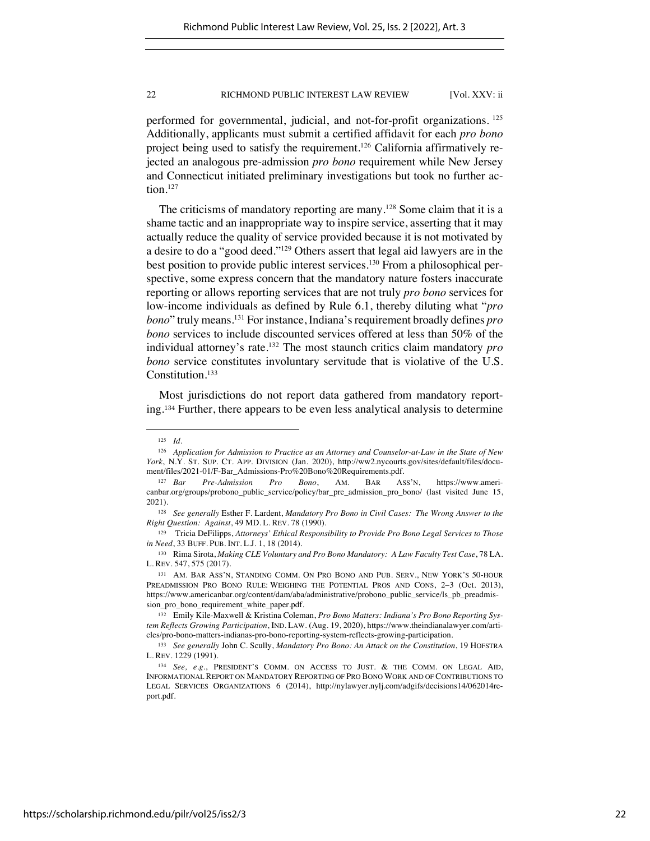performed for governmental, judicial, and not-for-profit organizations. <sup>125</sup> Additionally, applicants must submit a certified affidavit for each *pro bono* project being used to satisfy the requirement.126 California affirmatively rejected an analogous pre-admission *pro bono* requirement while New Jersey and Connecticut initiated preliminary investigations but took no further action.127

The criticisms of mandatory reporting are many.<sup>128</sup> Some claim that it is a shame tactic and an inappropriate way to inspire service, asserting that it may actually reduce the quality of service provided because it is not motivated by a desire to do a "good deed."129 Others assert that legal aid lawyers are in the best position to provide public interest services.130 From a philosophical perspective, some express concern that the mandatory nature fosters inaccurate reporting or allows reporting services that are not truly *pro bono* services for low-income individuals as defined by Rule 6.1, thereby diluting what "*pro bono*" truly means. <sup>131</sup> For instance, Indiana's requirement broadly defines *pro bono* services to include discounted services offered at less than 50% of the individual attorney's rate.132 The most staunch critics claim mandatory *pro bono* service constitutes involuntary servitude that is violative of the U.S. Constitution.<sup>133</sup>

Most jurisdictions do not report data gathered from mandatory reporting.<sup>134</sup> Further, there appears to be even less analytical analysis to determine

<sup>125</sup> *Id.*

<sup>126</sup> *Application for Admission to Practice as an Attorney and Counselor-at-Law in the State of New York*, N.Y. ST. SUP. CT. APP. DIVISION (Jan. 2020), http://ww2.nycourts.gov/sites/default/files/document/files/2021-01/F-Bar\_Admissions-Pro%20Bono%20Requirements.pdf.

<sup>127</sup> *Bar Pre-Admission Pro Bono*, AM. BAR ASS'N, https://www.americanbar.org/groups/probono\_public\_service/policy/bar\_pre\_admission\_pro\_bono/ (last visited June 15, 2021).

<sup>128</sup> *See generally* Esther F. Lardent, *Mandatory Pro Bono in Civil Cases: The Wrong Answer to the Right Question: Against*, 49 MD. L. REV. 78 (1990).

<sup>129</sup> Tricia DeFilipps, *Attorneys' Ethical Responsibility to Provide Pro Bono Legal Services to Those in Need*, 33 BUFF. PUB. INT. L.J. 1, 18 (2014).

<sup>130</sup> Rima Sirota, *Making CLE Voluntary and Pro Bono Mandatory: A Law Faculty Test Case*, 78 LA. L. REV. 547, 575 (2017).

<sup>131</sup> AM. BAR ASS'N, STANDING COMM. ON PRO BONO AND PUB. SERV., NEW YORK'S 50-HOUR PREADMISSION PRO BONO RULE: WEIGHING THE POTENTIAL PROS AND CONS, 2–3 (Oct. 2013), https://www.americanbar.org/content/dam/aba/administrative/probono\_public\_service/ls\_pb\_preadmission\_pro\_bono\_requirement\_white\_paper.pdf.

<sup>132</sup> Emily Kile-Maxwell & Kristina Coleman, *Pro Bono Matters: Indiana's Pro Bono Reporting System Reflects Growing Participation*, IND. LAW. (Aug. 19, 2020), https://www.theindianalawyer.com/articles/pro-bono-matters-indianas-pro-bono-reporting-system-reflects-growing-participation.

<sup>133</sup> *See generally* John C. Scully, *Mandatory Pro Bono: An Attack on the Constitution*, 19 HOFSTRA L. REV. 1229 (1991).

<sup>134</sup> *See, e.g.*, PRESIDENT'S COMM. ON ACCESS TO JUST. & THE COMM. ON LEGAL AID, INFORMATIONAL REPORT ON MANDATORY REPORTING OF PRO BONO WORK AND OF CONTRIBUTIONS TO LEGAL SERVICES ORGANIZATIONS 6 (2014), http://nylawyer.nylj.com/adgifs/decisions14/062014report.pdf.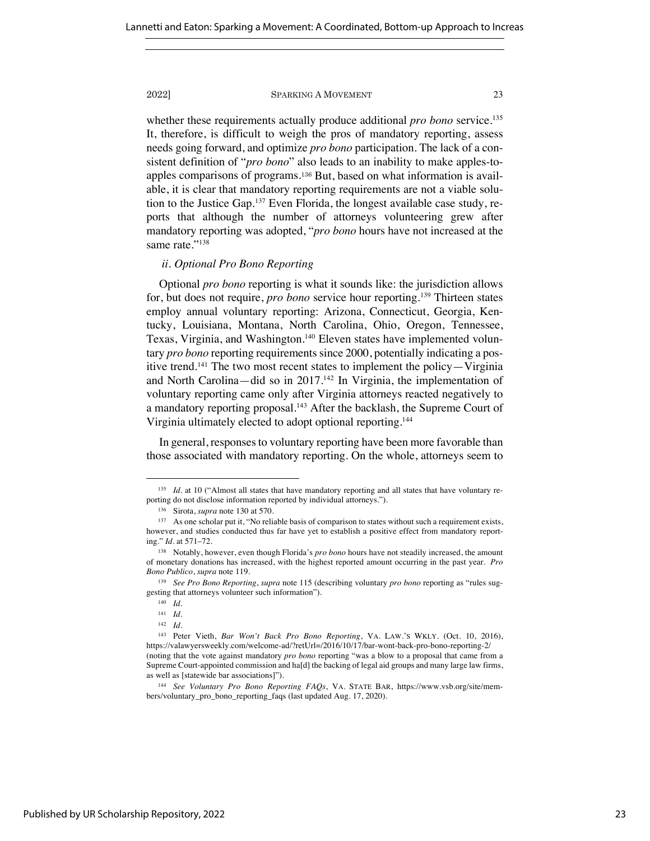whether these requirements actually produce additional *pro bono* service. 135 It, therefore, is difficult to weigh the pros of mandatory reporting, assess needs going forward, and optimize *pro bono* participation. The lack of a consistent definition of "*pro bono*" also leads to an inability to make apples-toapples comparisons of programs.<sup>136</sup> But, based on what information is available, it is clear that mandatory reporting requirements are not a viable solution to the Justice Gap.137 Even Florida, the longest available case study, reports that although the number of attorneys volunteering grew after mandatory reporting was adopted, "*pro bono* hours have not increased at the same rate."138

# *ii. Optional Pro Bono Reporting*

Optional *pro bono* reporting is what it sounds like: the jurisdiction allows for, but does not require, *pro bono* service hour reporting.139 Thirteen states employ annual voluntary reporting: Arizona, Connecticut, Georgia, Kentucky, Louisiana, Montana, North Carolina, Ohio, Oregon, Tennessee, Texas, Virginia, and Washington.<sup>140</sup> Eleven states have implemented voluntary *pro bono* reporting requirements since 2000, potentially indicating a positive trend. <sup>141</sup> The two most recent states to implement the policy—Virginia and North Carolina—did so in 2017. <sup>142</sup> In Virginia, the implementation of voluntary reporting came only after Virginia attorneys reacted negatively to a mandatory reporting proposal.<sup>143</sup> After the backlash, the Supreme Court of Virginia ultimately elected to adopt optional reporting.144

In general, responses to voluntary reporting have been more favorable than those associated with mandatory reporting. On the whole, attorneys seem to

<sup>&</sup>lt;sup>135</sup> *Id.* at 10 ("Almost all states that have mandatory reporting and all states that have voluntary reporting do not disclose information reported by individual attorneys.").

<sup>136</sup> Sirota, *supra* note 130 at 570.

<sup>&</sup>lt;sup>137</sup> As one scholar put it, "No reliable basis of comparison to states without such a requirement exists, however, and studies conducted thus far have yet to establish a positive effect from mandatory reporting." *Id.* at 571–72.

<sup>138</sup> Notably, however, even though Florida's *pro bono* hours have not steadily increased, the amount of monetary donations has increased, with the highest reported amount occurring in the past year. *Pro Bono Publico*, *supra* note 119.

<sup>139</sup> *See Pro Bono Reporting*, *supra* note 115 (describing voluntary *pro bono* reporting as "rules suggesting that attorneys volunteer such information").

<sup>140</sup> *Id.* 

<sup>141</sup> *Id.*

<sup>142</sup> *Id.*

<sup>143</sup> Peter Vieth, *Bar Won't Back Pro Bono Reporting*, VA. LAW.'S WKLY. (Oct. 10, 2016), https://valawyersweekly.com/welcome-ad/?retUrl=/2016/10/17/bar-wont-back-pro-bono-reporting-2/ (noting that the vote against mandatory *pro bono* reporting "was a blow to a proposal that came from a Supreme Court-appointed commission and ha[d] the backing of legal aid groups and many large law firms, as well as [statewide bar associations]").

<sup>144</sup> *See Voluntary Pro Bono Reporting FAQs*, VA. STATE BAR, https://www.vsb.org/site/members/voluntary\_pro\_bono\_reporting\_faqs (last updated Aug. 17, 2020).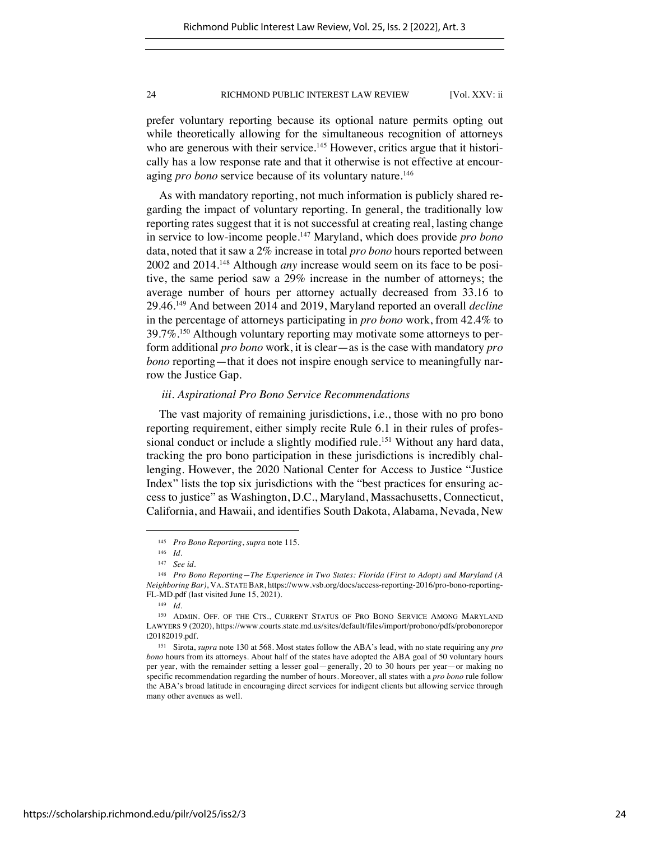prefer voluntary reporting because its optional nature permits opting out while theoretically allowing for the simultaneous recognition of attorneys who are generous with their service.<sup>145</sup> However, critics argue that it historically has a low response rate and that it otherwise is not effective at encouraging *pro bono* service because of its voluntary nature.<sup>146</sup>

As with mandatory reporting, not much information is publicly shared regarding the impact of voluntary reporting. In general, the traditionally low reporting rates suggest that it is not successful at creating real, lasting change in service to low-income people. <sup>147</sup> Maryland, which does provide *pro bono* data, noted that it saw a 2% increase in total *pro bono* hours reported between 2002 and 2014. <sup>148</sup> Although *any* increase would seem on its face to be positive, the same period saw a 29% increase in the number of attorneys; the average number of hours per attorney actually decreased from 33.16 to 29.46.149 And between 2014 and 2019, Maryland reported an overall *decline* in the percentage of attorneys participating in *pro bono* work, from 42.4% to  $39.7\%$ <sup>150</sup> Although voluntary reporting may motivate some attorneys to perform additional *pro bono* work, it is clear—as is the case with mandatory *pro bono* reporting—that it does not inspire enough service to meaningfully narrow the Justice Gap.

### *iii. Aspirational Pro Bono Service Recommendations*

The vast majority of remaining jurisdictions, i.e., those with no pro bono reporting requirement, either simply recite Rule 6.1 in their rules of professional conduct or include a slightly modified rule.<sup>151</sup> Without any hard data, tracking the pro bono participation in these jurisdictions is incredibly challenging. However, the 2020 National Center for Access to Justice "Justice Index" lists the top six jurisdictions with the "best practices for ensuring access to justice" as Washington, D.C., Maryland, Massachusetts, Connecticut, California, and Hawaii, and identifies South Dakota, Alabama, Nevada, New

<sup>145</sup> *Pro Bono Reporting*, *supra* note 115.

<sup>146</sup> *Id.*

<sup>147</sup> *See id.* 

<sup>148</sup> *Pro Bono Reporting—The Experience in Two States: Florida (First to Adopt) and Maryland (A Neighboring Bar)*, VA. STATE BAR, https://www.vsb.org/docs/access-reporting-2016/pro-bono-reporting-FL-MD.pdf (last visited June 15, 2021).

<sup>149</sup> *Id.*

<sup>150</sup> ADMIN. OFF. OF THE CTS., CURRENT STATUS OF PRO BONO SERVICE AMONG MARYLAND LAWYERS 9 (2020), https://www.courts.state.md.us/sites/default/files/import/probono/pdfs/probonorepor t20182019.pdf.

<sup>151</sup> Sirota, *supra* note 130 at 568. Most states follow the ABA's lead, with no state requiring any *pro bono* hours from its attorneys. About half of the states have adopted the ABA goal of 50 voluntary hours per year, with the remainder setting a lesser goal—generally, 20 to 30 hours per year—or making no specific recommendation regarding the number of hours. Moreover, all states with a *pro bono* rule follow the ABA's broad latitude in encouraging direct services for indigent clients but allowing service through many other avenues as well.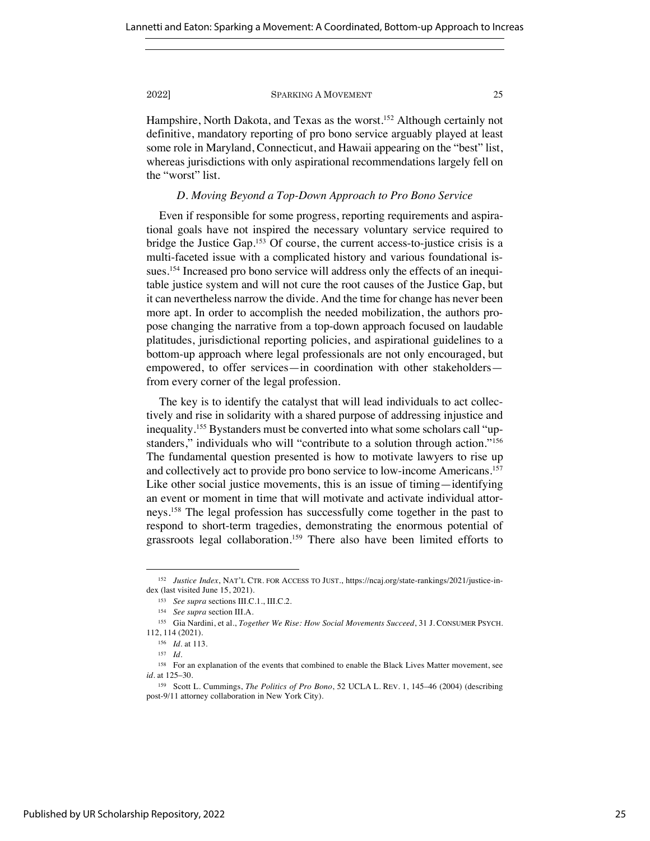Hampshire, North Dakota, and Texas as the worst.<sup>152</sup> Although certainly not definitive, mandatory reporting of pro bono service arguably played at least some role in Maryland, Connecticut, and Hawaii appearing on the "best" list, whereas jurisdictions with only aspirational recommendations largely fell on the "worst" list.

### *D. Moving Beyond a Top-Down Approach to Pro Bono Service*

Even if responsible for some progress, reporting requirements and aspirational goals have not inspired the necessary voluntary service required to bridge the Justice Gap.<sup>153</sup> Of course, the current access-to-justice crisis is a multi-faceted issue with a complicated history and various foundational issues.154 Increased pro bono service will address only the effects of an inequitable justice system and will not cure the root causes of the Justice Gap, but it can nevertheless narrow the divide. And the time for change has never been more apt. In order to accomplish the needed mobilization, the authors propose changing the narrative from a top-down approach focused on laudable platitudes, jurisdictional reporting policies, and aspirational guidelines to a bottom-up approach where legal professionals are not only encouraged, but empowered, to offer services—in coordination with other stakeholders from every corner of the legal profession.

The key is to identify the catalyst that will lead individuals to act collectively and rise in solidarity with a shared purpose of addressing injustice and inequality.155 Bystanders must be converted into what some scholars call "upstanders," individuals who will "contribute to a solution through action."<sup>156</sup> The fundamental question presented is how to motivate lawyers to rise up and collectively act to provide pro bono service to low-income Americans.157 Like other social justice movements, this is an issue of timing—identifying an event or moment in time that will motivate and activate individual attorneys.158 The legal profession has successfully come together in the past to respond to short-term tragedies, demonstrating the enormous potential of grassroots legal collaboration.159 There also have been limited efforts to

<sup>152</sup> *Justice Index*, NAT'L CTR. FOR ACCESS TO JUST., https://ncaj.org/state-rankings/2021/justice-index (last visited June 15, 2021).

<sup>153</sup> *See supra* sections III.C.1., III.C.2.

<sup>154</sup> *See supra* section III.A.

<sup>155</sup> Gia Nardini, et al., *Together We Rise: How Social Movements Succeed*, 31 J. CONSUMER PSYCH. 112, 114 (2021).

<sup>156</sup> *Id.* at 113.

<sup>157</sup> *Id.*

<sup>&</sup>lt;sup>158</sup> For an explanation of the events that combined to enable the Black Lives Matter movement, see *id.* at 125–30.

<sup>159</sup> Scott L. Cummings, *The Politics of Pro Bono*, 52 UCLA L. REV. 1, 145–46 (2004) (describing post-9/11 attorney collaboration in New York City).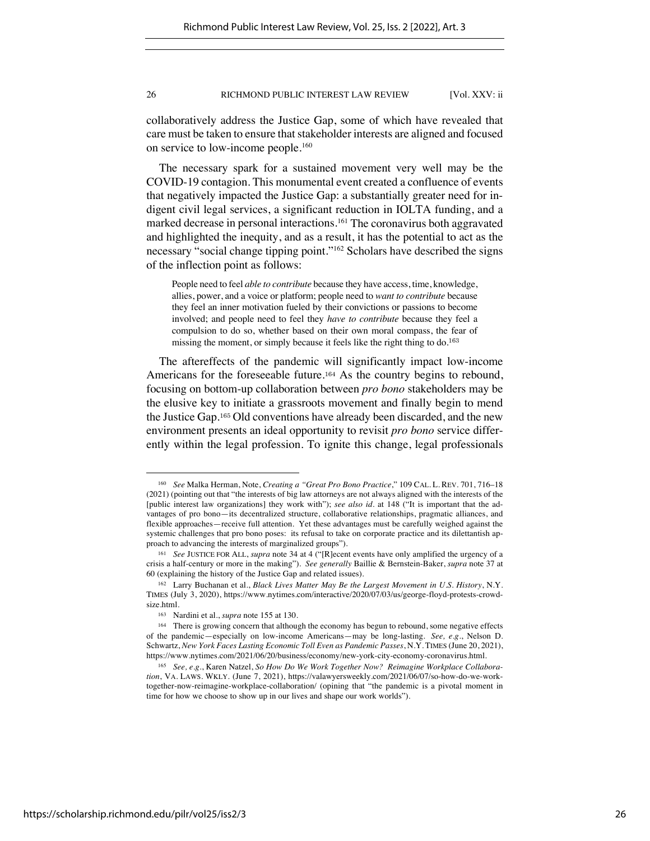collaboratively address the Justice Gap, some of which have revealed that care must be taken to ensure that stakeholder interests are aligned and focused on service to low-income people.<sup>160</sup>

The necessary spark for a sustained movement very well may be the COVID-19 contagion. This monumental event created a confluence of events that negatively impacted the Justice Gap: a substantially greater need for indigent civil legal services, a significant reduction in IOLTA funding, and a marked decrease in personal interactions.161 The coronavirus both aggravated and highlighted the inequity, and as a result, it has the potential to act as the necessary "social change tipping point."162 Scholars have described the signs of the inflection point as follows:

People need to feel *able to contribute* because they have access, time, knowledge, allies, power, and a voice or platform; people need to *want to contribute* because they feel an inner motivation fueled by their convictions or passions to become involved; and people need to feel they *have to contribute* because they feel a compulsion to do so, whether based on their own moral compass, the fear of missing the moment, or simply because it feels like the right thing to do.<sup>163</sup>

The aftereffects of the pandemic will significantly impact low-income Americans for the foreseeable future.<sup>164</sup> As the country begins to rebound, focusing on bottom-up collaboration between *pro bono* stakeholders may be the elusive key to initiate a grassroots movement and finally begin to mend the Justice Gap.<sup>165</sup> Old conventions have already been discarded, and the new environment presents an ideal opportunity to revisit *pro bono* service differently within the legal profession. To ignite this change, legal professionals

<sup>160</sup> *See* Malka Herman, Note, *Creating a "Great Pro Bono Practice*," 109 CAL. L. REV. 701, 716–18 (2021) (pointing out that "the interests of big law attorneys are not always aligned with the interests of the [public interest law organizations] they work with"); *see also id.* at 148 ("It is important that the advantages of pro bono—its decentralized structure, collaborative relationships, pragmatic alliances, and flexible approaches—receive full attention. Yet these advantages must be carefully weighed against the systemic challenges that pro bono poses: its refusal to take on corporate practice and its dilettantish approach to advancing the interests of marginalized groups").

<sup>161</sup> *See* JUSTICE FOR ALL, *supra* note 34 at 4 ("[R]ecent events have only amplified the urgency of a crisis a half-century or more in the making"). *See generally* Baillie & Bernstein-Baker, *supra* note 37 at 60 (explaining the history of the Justice Gap and related issues).

<sup>162</sup> Larry Buchanan et al., *Black Lives Matter May Be the Largest Movement in U.S. History*, N.Y. TIMES (July 3, 2020), https://www.nytimes.com/interactive/2020/07/03/us/george-floyd-protests-crowdsize.html.

<sup>163</sup> Nardini et al., *supra* note 155 at 130.

<sup>164</sup> There is growing concern that although the economy has begun to rebound, some negative effects of the pandemic—especially on low-income Americans—may be long-lasting. *See, e.g.*, Nelson D. Schwartz, *New York Faces Lasting Economic Toll Even as Pandemic Passes*, N.Y. TIMES (June 20, 2021), https://www.nytimes.com/2021/06/20/business/economy/new-york-city-economy-coronavirus.html.

<sup>165</sup> *See, e.g.*, Karen Natzel, *So How Do We Work Together Now? Reimagine Workplace Collaboration*, VA. LAWS. WKLY. (June 7, 2021), https://valawyersweekly.com/2021/06/07/so-how-do-we-worktogether-now-reimagine-workplace-collaboration/ (opining that "the pandemic is a pivotal moment in time for how we choose to show up in our lives and shape our work worlds").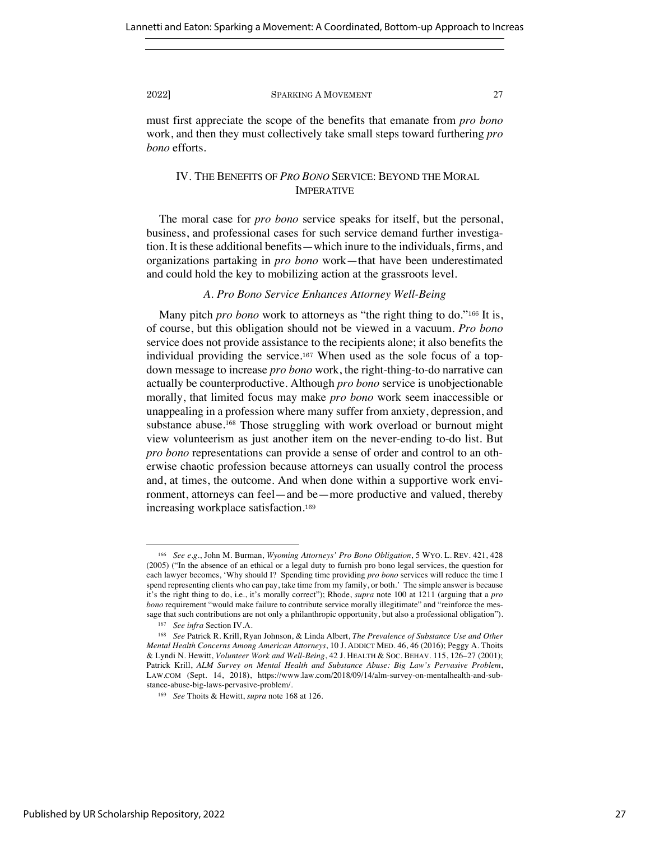must first appreciate the scope of the benefits that emanate from *pro bono*  work, and then they must collectively take small steps toward furthering *pro bono* efforts.

# IV. THE BENEFITS OF *PRO BONO* SERVICE: BEYOND THE MORAL IMPERATIVE

The moral case for *pro bono* service speaks for itself, but the personal, business, and professional cases for such service demand further investigation. It is these additional benefits—which inure to the individuals, firms, and organizations partaking in *pro bono* work—that have been underestimated and could hold the key to mobilizing action at the grassroots level.

# *A. Pro Bono Service Enhances Attorney Well-Being*

Many pitch *pro bono* work to attorneys as "the right thing to do."<sup>166</sup> It is, of course, but this obligation should not be viewed in a vacuum. *Pro bono*  service does not provide assistance to the recipients alone; it also benefits the individual providing the service.<sup>167</sup> When used as the sole focus of a topdown message to increase *pro bono* work, the right-thing-to-do narrative can actually be counterproductive. Although *pro bono* service is unobjectionable morally, that limited focus may make *pro bono* work seem inaccessible or unappealing in a profession where many suffer from anxiety, depression, and substance abuse. <sup>168</sup> Those struggling with work overload or burnout might view volunteerism as just another item on the never-ending to-do list. But *pro bono* representations can provide a sense of order and control to an otherwise chaotic profession because attorneys can usually control the process and, at times, the outcome. And when done within a supportive work environment, attorneys can feel—and be—more productive and valued, thereby increasing workplace satisfaction.<sup>169</sup>

<sup>166</sup> *See e.g.*, John M. Burman, *Wyoming Attorneys' Pro Bono Obligation*, 5 WYO. L. REV. 421, 428 (2005) ("In the absence of an ethical or a legal duty to furnish pro bono legal services, the question for each lawyer becomes, 'Why should I? Spending time providing *pro bono* services will reduce the time I spend representing clients who can pay, take time from my family, or both.' The simple answer is because it's the right thing to do, i.e., it's morally correct"); Rhode, *supra* note 100 at 1211 (arguing that a *pro bono* requirement "would make failure to contribute service morally illegitimate" and "reinforce the message that such contributions are not only a philanthropic opportunity, but also a professional obligation").

<sup>167</sup> *See infra* Section IV.A.

<sup>168</sup> *See* Patrick R. Krill, Ryan Johnson, & Linda Albert, *The Prevalence of Substance Use and Other Mental Health Concerns Among American Attorneys*, 10 J. ADDICT MED. 46, 46 (2016); Peggy A. Thoits & Lyndi N. Hewitt, *Volunteer Work and Well-Being*, 42 J. HEALTH & SOC. BEHAV. 115, 126–27 (2001); Patrick Krill, *ALM Survey on Mental Health and Substance Abuse: Big Law's Pervasive Problem*, LAW.COM (Sept. 14, 2018), https://www.law.com/2018/09/14/alm-survey-on-mentalhealth-and-substance-abuse-big-laws-pervasive-problem/.

<sup>169</sup> *See* Thoits & Hewitt, *supra* note 168 at 126.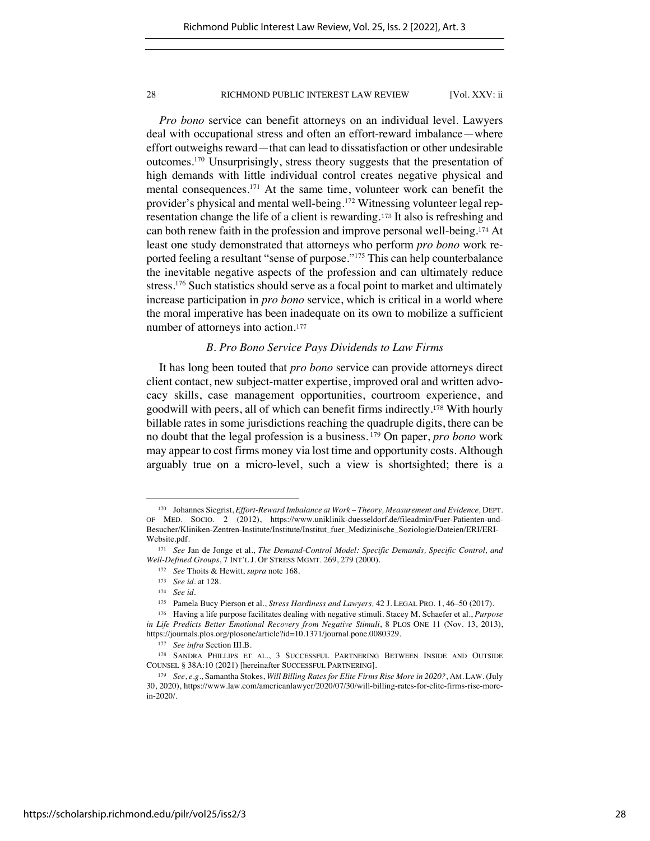*Pro bono* service can benefit attorneys on an individual level. Lawyers deal with occupational stress and often an effort-reward imbalance—where effort outweighs reward—that can lead to dissatisfaction or other undesirable outcomes.170 Unsurprisingly, stress theory suggests that the presentation of high demands with little individual control creates negative physical and mental consequences.171 At the same time, volunteer work can benefit the provider's physical and mental well-being.<sup>172</sup> Witnessing volunteer legal representation change the life of a client is rewarding.<sup>173</sup> It also is refreshing and can both renew faith in the profession and improve personal well-being.<sup>174</sup> At least one study demonstrated that attorneys who perform *pro bono* work reported feeling a resultant "sense of purpose."175 This can help counterbalance the inevitable negative aspects of the profession and can ultimately reduce stress.<sup>176</sup> Such statistics should serve as a focal point to market and ultimately increase participation in *pro bono* service, which is critical in a world where the moral imperative has been inadequate on its own to mobilize a sufficient number of attorneys into action.<sup>177</sup>

# *B. Pro Bono Service Pays Dividends to Law Firms*

It has long been touted that *pro bono* service can provide attorneys direct client contact, new subject-matter expertise, improved oral and written advocacy skills, case management opportunities, courtroom experience, and goodwill with peers, all of which can benefit firms indirectly.<sup>178</sup> With hourly billable rates in some jurisdictions reaching the quadruple digits, there can be no doubt that the legal profession is a business. <sup>179</sup> On paper, *pro bono* work may appear to cost firms money via lost time and opportunity costs. Although arguably true on a micro-level, such a view is shortsighted; there is a

<sup>170</sup> Johannes Siegrist, *Effort-Reward Imbalance at Work – Theory, Measurement and Evidence,* DEPT. OF MED. SOCIO. 2 (2012), https://www.uniklinik-duesseldorf.de/fileadmin/Fuer-Patienten-und-Besucher/Kliniken-Zentren-Institute/Institute/Institut\_fuer\_Medizinische\_Soziologie/Dateien/ERI/ERI-Website.pdf.

<sup>171</sup> *See* Jan de Jonge et al., *The Demand-Control Model: Specific Demands, Specific Control, and Well-Defined Groups*, 7 INT'L J. OF STRESS MGMT. 269, 279 (2000).

<sup>172</sup> *See* Thoits & Hewitt, *supra* note 168.

<sup>173</sup> *See id.* at 128.

<sup>174</sup> *See id.* 

<sup>175</sup> Pamela Bucy Pierson et al., *Stress Hardiness and Lawyers,* 42 J. LEGAL PRO. 1, 46–50 (2017).

<sup>176</sup> Having a life purpose facilitates dealing with negative stimuli. Stacey M. Schaefer et al., *Purpose*  in Life Predicts Better Emotional Recovery from Negative Stimuli, 8 PLOS ONE 11 (Nov. 13, 2013), https://journals.plos.org/plosone/article?id=10.1371/journal.pone.0080329.

<sup>177</sup> *See infra* Section III.B.

<sup>178</sup> SANDRA PHILLIPS ET AL., 3 SUCCESSFUL PARTNERING BETWEEN INSIDE AND OUTSIDE COUNSEL § 38A:10 (2021) [hereinafter SUCCESSFUL PARTNERING].

<sup>179</sup> *See*, *e.g.*, Samantha Stokes, *Will Billing Rates for Elite Firms Rise More in 2020?*, AM. LAW. (July 30, 2020), https://www.law.com/americanlawyer/2020/07/30/will-billing-rates-for-elite-firms-rise-morein-2020/.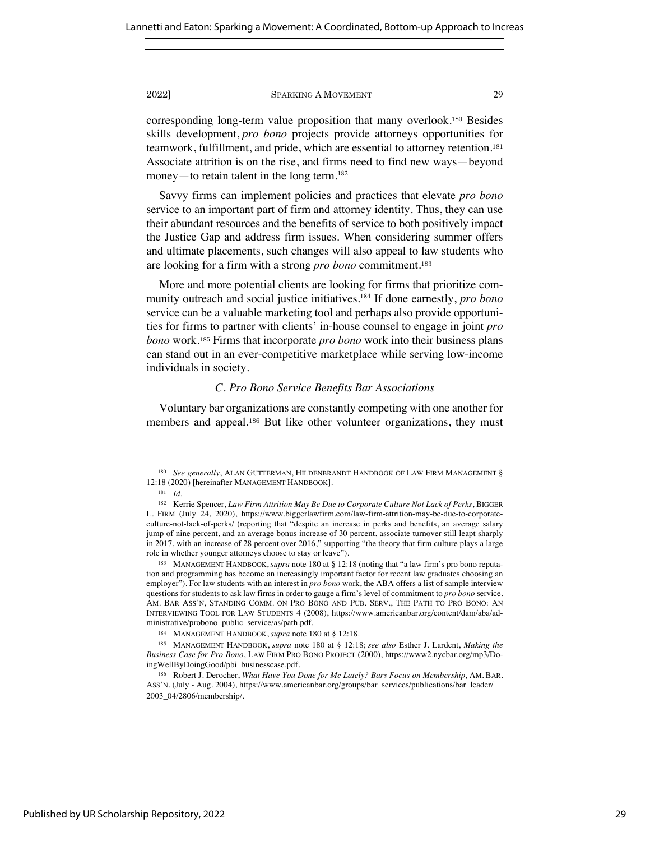corresponding long-term value proposition that many overlook.<sup>180</sup> Besides skills development, *pro bono* projects provide attorneys opportunities for teamwork, fulfillment, and pride, which are essential to attorney retention.<sup>181</sup> Associate attrition is on the rise, and firms need to find new ways—beyond money—to retain talent in the long term.<sup>182</sup>

Savvy firms can implement policies and practices that elevate *pro bono*  service to an important part of firm and attorney identity. Thus, they can use their abundant resources and the benefits of service to both positively impact the Justice Gap and address firm issues. When considering summer offers and ultimate placements, such changes will also appeal to law students who are looking for a firm with a strong *pro bono* commitment.<sup>183</sup>

More and more potential clients are looking for firms that prioritize community outreach and social justice initiatives.184 If done earnestly, *pro bono* service can be a valuable marketing tool and perhaps also provide opportunities for firms to partner with clients' in-house counsel to engage in joint *pro bono* work.<sup>185</sup> Firms that incorporate *pro bono* work into their business plans can stand out in an ever-competitive marketplace while serving low-income individuals in society.

# *C. Pro Bono Service Benefits Bar Associations*

Voluntary bar organizations are constantly competing with one another for members and appeal.<sup>186</sup> But like other volunteer organizations, they must

<sup>&</sup>lt;sup>180</sup> See generally, ALAN GUTTERMAN, HILDENBRANDT HANDBOOK OF LAW FIRM MANAGEMENT § 12:18 (2020) [hereinafter MANAGEMENT HANDBOOK].

<sup>181</sup> *Id.*

<sup>182</sup> Kerrie Spencer, *Law Firm Attrition May Be Due to Corporate Culture Not Lack of Perks*, BIGGER L. FIRM (July 24, 2020), https://www.biggerlawfirm.com/law-firm-attrition-may-be-due-to-corporateculture-not-lack-of-perks/ (reporting that "despite an increase in perks and benefits, an average salary jump of nine percent, and an average bonus increase of 30 percent, associate turnover still leapt sharply in 2017, with an increase of 28 percent over 2016," supporting "the theory that firm culture plays a large role in whether younger attorneys choose to stay or leave").

<sup>183</sup> MANAGEMENT HANDBOOK, *supra* note 180 at § 12:18 (noting that "a law firm's pro bono reputation and programming has become an increasingly important factor for recent law graduates choosing an employer"). For law students with an interest in *pro bono* work, the ABA offers a list of sample interview questions for students to ask law firms in order to gauge a firm's level of commitment to *pro bono* service. AM. BAR ASS'N, STANDING COMM. ON PRO BONO AND PUB. SERV., THE PATH TO PRO BONO: AN INTERVIEWING TOOL FOR LAW STUDENTS 4 (2008), https://www.americanbar.org/content/dam/aba/administrative/probono\_public\_service/as/path.pdf.

<sup>184</sup> MANAGEMENT HANDBOOK, *supra* note 180 at § 12:18.

<sup>185</sup> MANAGEMENT HANDBOOK, *supra* note 180 at § 12:18; *see also* Esther J. Lardent, *Making the Business Case for Pro Bono*, LAW FIRM PRO BONO PROJECT (2000), https://www2.nycbar.org/mp3/DoingWellByDoingGood/pbi\_businesscase.pdf.

<sup>186</sup> Robert J. Derocher, *What Have You Done for Me Lately? Bars Focus on Membership*, AM. BAR. ASS'N. (July - Aug. 2004), https://www.americanbar.org/groups/bar\_services/publications/bar\_leader/ 2003\_04/2806/membership/.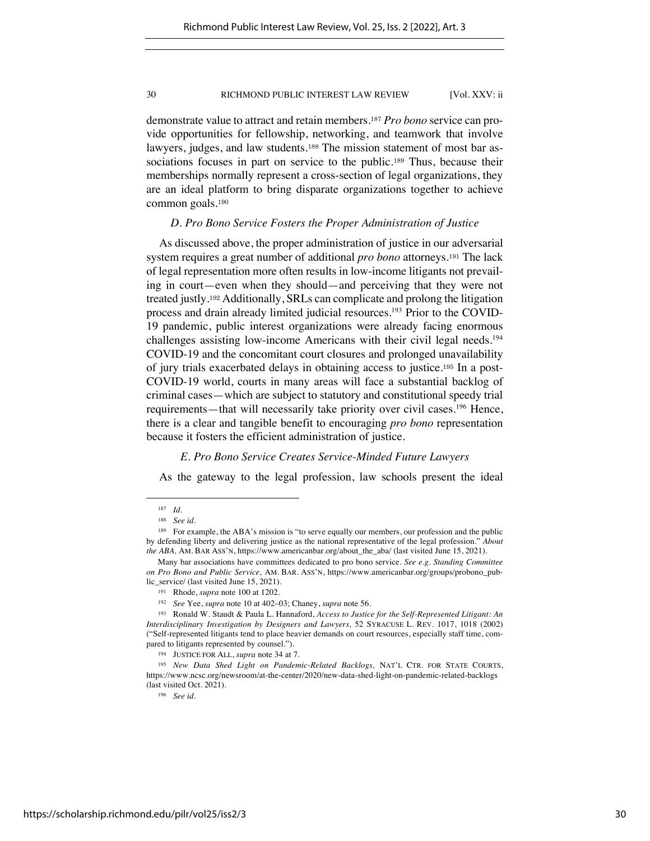demonstrate value to attract and retain members.<sup>187</sup> *Pro bono* service can provide opportunities for fellowship, networking, and teamwork that involve lawyers, judges, and law students.<sup>188</sup> The mission statement of most bar associations focuses in part on service to the public.<sup>189</sup> Thus, because their memberships normally represent a cross-section of legal organizations, they are an ideal platform to bring disparate organizations together to achieve common goals.<sup>190</sup>

# *D. Pro Bono Service Fosters the Proper Administration of Justice*

As discussed above, the proper administration of justice in our adversarial system requires a great number of additional *pro bono* attorneys.<sup>191</sup> The lack of legal representation more often results in low-income litigants not prevailing in court—even when they should—and perceiving that they were not treated justly.<sup>192</sup> Additionally, SRLs can complicate and prolong the litigation process and drain already limited judicial resources.<sup>193</sup> Prior to the COVID-19 pandemic, public interest organizations were already facing enormous challenges assisting low-income Americans with their civil legal needs. 194 COVID-19 and the concomitant court closures and prolonged unavailability of jury trials exacerbated delays in obtaining access to justice.<sup>195</sup> In a post-COVID-19 world, courts in many areas will face a substantial backlog of criminal cases—which are subject to statutory and constitutional speedy trial requirements—that will necessarily take priority over civil cases.<sup>196</sup> Hence, there is a clear and tangible benefit to encouraging *pro bono* representation because it fosters the efficient administration of justice.

# *E. Pro Bono Service Creates Service-Minded Future Lawyers*

As the gateway to the legal profession, law schools present the ideal

<sup>187</sup> *Id.*

<sup>188</sup> *See id.*

<sup>&</sup>lt;sup>189</sup> For example, the ABA's mission is "to serve equally our members, our profession and the public by defending liberty and delivering justice as the national representative of the legal profession." *About the ABA,* AM. BAR ASS'N, https://www.americanbar.org/about\_the\_aba/ (last visited June 15, 2021).

Many bar associations have committees dedicated to pro bono service. *See e.g. Standing Committee on Pro Bono and Public Service,* AM. BAR. ASS'N, https://www.americanbar.org/groups/probono\_public\_service/ (last visited June 15, 2021).

<sup>191</sup> Rhode, *supra* note 100 at 1202.

<sup>192</sup> *See* Yee, *supra* note 10 at 402–03; Chaney, *supra* note 56.

<sup>193</sup> Ronald W. Staudt & Paula L. Hannaford, *Access to Justice for the Self-Represented Litigant: An Interdisciplinary Investigation by Designers and Lawyers,* 52 SYRACUSE L. REV. 1017, 1018 (2002) ("Self-represented litigants tend to place heavier demands on court resources, especially staff time, compared to litigants represented by counsel.").

<sup>194</sup> JUSTICE FOR ALL, *supra* note 34 at 7.

<sup>195</sup> *New Data Shed Light on Pandemic-Related Backlogs,* NAT'L CTR. FOR STATE COURTS, https://www.ncsc.org/newsroom/at-the-center/2020/new-data-shed-light-on-pandemic-related-backlogs (last visited Oct. 2021).

<sup>196</sup> *See id.*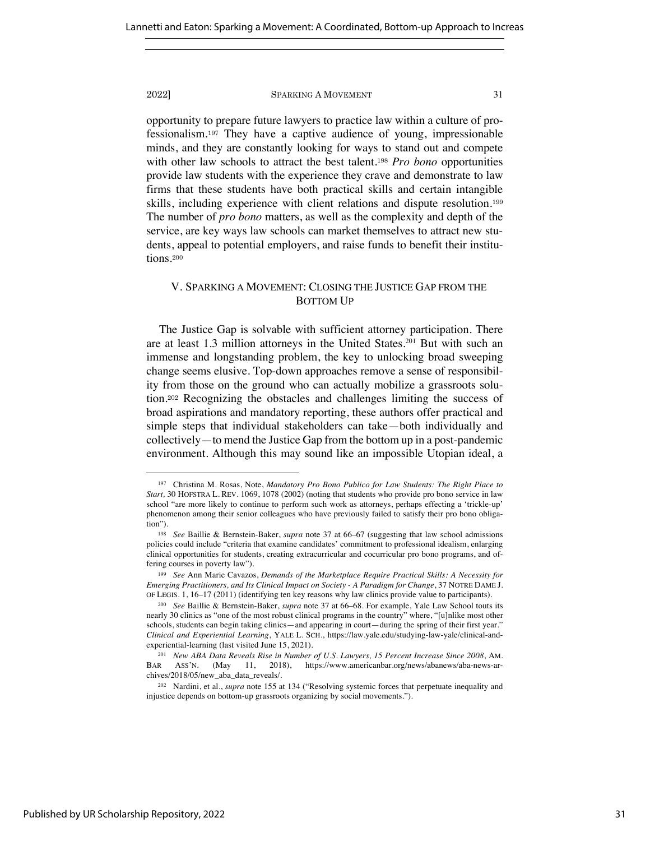opportunity to prepare future lawyers to practice law within a culture of professionalism.<sup>197</sup> They have a captive audience of young, impressionable minds, and they are constantly looking for ways to stand out and compete with other law schools to attract the best talent.<sup>198</sup> *Pro bono* opportunities provide law students with the experience they crave and demonstrate to law firms that these students have both practical skills and certain intangible skills, including experience with client relations and dispute resolution.<sup>199</sup> The number of *pro bono* matters, as well as the complexity and depth of the service, are key ways law schools can market themselves to attract new students, appeal to potential employers, and raise funds to benefit their institutions.<sup>200</sup>

# V. SPARKING A MOVEMENT: CLOSING THE JUSTICE GAP FROM THE BOTTOM UP

The Justice Gap is solvable with sufficient attorney participation. There are at least 1.3 million attorneys in the United States.201 But with such an immense and longstanding problem, the key to unlocking broad sweeping change seems elusive. Top-down approaches remove a sense of responsibility from those on the ground who can actually mobilize a grassroots solution.<sup>202</sup> Recognizing the obstacles and challenges limiting the success of broad aspirations and mandatory reporting, these authors offer practical and simple steps that individual stakeholders can take—both individually and collectively—to mend the Justice Gap from the bottom up in a post-pandemic environment. Although this may sound like an impossible Utopian ideal, a

<sup>197</sup> Christina M. Rosas, Note, *Mandatory Pro Bono Publico for Law Students: The Right Place to Start,* 30 HOFSTRA L. REV. 1069, 1078 (2002) (noting that students who provide pro bono service in law school "are more likely to continue to perform such work as attorneys, perhaps effecting a 'trickle-up' phenomenon among their senior colleagues who have previously failed to satisfy their pro bono obligation").

<sup>198</sup> *See* Baillie & Bernstein-Baker, *supra* note 37 at 66–67 (suggesting that law school admissions policies could include "criteria that examine candidates' commitment to professional idealism, enlarging clinical opportunities for students, creating extracurricular and cocurricular pro bono programs, and offering courses in poverty law").

<sup>199</sup> *See* Ann Marie Cavazos, *Demands of the Marketplace Require Practical Skills: A Necessity for Emerging Practitioners, and Its Clinical Impact on Society - A Paradigm for Change*, 37 NOTRE DAME J. OF LEGIS. 1, 16–17 (2011) (identifying ten key reasons why law clinics provide value to participants).

<sup>200</sup> *See* Baillie & Bernstein-Baker, *supra* note 37 at 66–68. For example, Yale Law School touts its nearly 30 clinics as "one of the most robust clinical programs in the country" where, "[u]nlike most other schools, students can begin taking clinics—and appearing in court—during the spring of their first year." *Clinical and Experiential Learning*, YALE L. SCH., https://law.yale.edu/studying-law-yale/clinical-andexperiential-learning (last visited June 15, 2021).

<sup>201</sup> *New ABA Data Reveals Rise in Number of U.S. Lawyers, 15 Percent Increase Since 2008*, AM. BAR ASS'N. (May 11, 2018), https://www.americanbar.org/news/abanews/aba-news-archives/2018/05/new\_aba\_data\_reveals/.

<sup>202</sup> Nardini, et al., *supra* note 155 at 134 ("Resolving systemic forces that perpetuate inequality and injustice depends on bottom-up grassroots organizing by social movements.").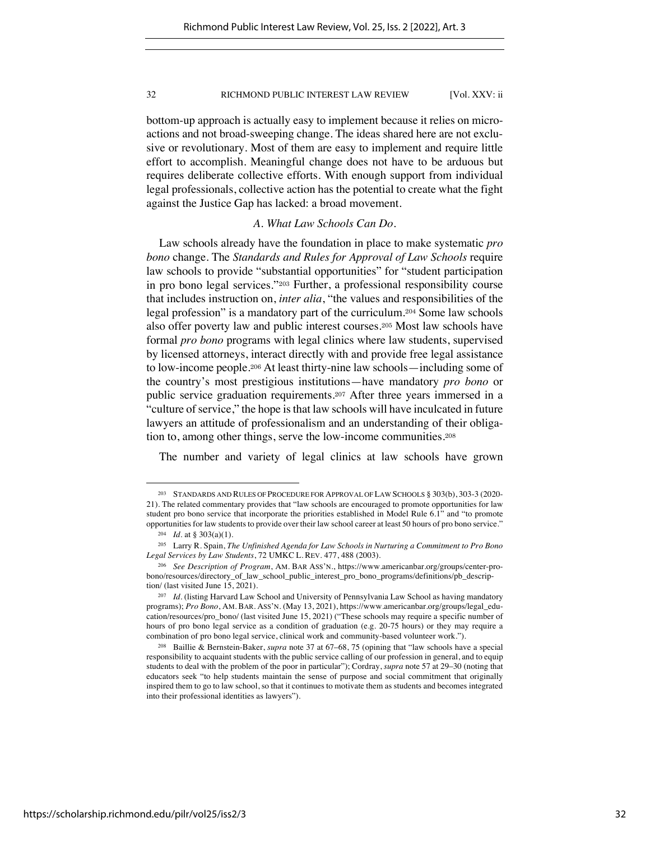bottom-up approach is actually easy to implement because it relies on microactions and not broad-sweeping change. The ideas shared here are not exclusive or revolutionary. Most of them are easy to implement and require little effort to accomplish. Meaningful change does not have to be arduous but requires deliberate collective efforts. With enough support from individual legal professionals, collective action has the potential to create what the fight against the Justice Gap has lacked: a broad movement.

# *A. What Law Schools Can Do.*

Law schools already have the foundation in place to make systematic *pro bono* change. The *Standards and Rules for Approval of Law Schools* require law schools to provide "substantial opportunities" for "student participation in pro bono legal services."<sup>203</sup> Further, a professional responsibility course that includes instruction on, *inter alia*, "the values and responsibilities of the legal profession" is a mandatory part of the curriculum.<sup>204</sup> Some law schools also offer poverty law and public interest courses.<sup>205</sup> Most law schools have formal *pro bono* programs with legal clinics where law students, supervised by licensed attorneys, interact directly with and provide free legal assistance to low-income people.<sup>206</sup> At least thirty-nine law schools—including some of the country's most prestigious institutions—have mandatory *pro bono* or public service graduation requirements.<sup>207</sup> After three years immersed in a "culture of service," the hope is that law schools will have inculcated in future lawyers an attitude of professionalism and an understanding of their obligation to, among other things, serve the low-income communities.<sup>208</sup>

The number and variety of legal clinics at law schools have grown

<sup>203</sup> STANDARDS AND RULES OF PROCEDURE FOR APPROVAL OF LAW SCHOOLS § 303(b), 303-3 (2020- 21). The related commentary provides that "law schools are encouraged to promote opportunities for law student pro bono service that incorporate the priorities established in Model Rule 6.1" and "to promote opportunities for law students to provide over their law school career at least 50 hours of pro bono service."

 $204$  *Id.* at § 303(a)(1).

<sup>205</sup> Larry R. Spain, *The Unfinished Agenda for Law Schools in Nurturing a Commitment to Pro Bono Legal Services by Law Students*, 72 UMKC L. REV. 477, 488 (2003).

<sup>206</sup> *See Description of Program*, AM. BAR ASS'N., https://www.americanbar.org/groups/center-probono/resources/directory\_of\_law\_school\_public\_interest\_pro\_bono\_programs/definitions/pb\_description/ (last visited June 15, 2021).

<sup>207</sup> *Id.* (listing Harvard Law School and University of Pennsylvania Law School as having mandatory programs); *Pro Bono*, AM. BAR. ASS'N. (May 13, 2021), https://www.americanbar.org/groups/legal\_education/resources/pro\_bono/ (last visited June 15, 2021) ("These schools may require a specific number of hours of pro bono legal service as a condition of graduation (e.g. 20-75 hours) or they may require a combination of pro bono legal service, clinical work and community-based volunteer work.").

<sup>208</sup> Baillie & Bernstein-Baker, *supra* note 37 at 67–68, 75 (opining that "law schools have a special responsibility to acquaint students with the public service calling of our profession in general, and to equip students to deal with the problem of the poor in particular"); Cordray, *supra* note 57 at 29–30 (noting that educators seek "to help students maintain the sense of purpose and social commitment that originally inspired them to go to law school, so that it continues to motivate them as students and becomes integrated into their professional identities as lawyers").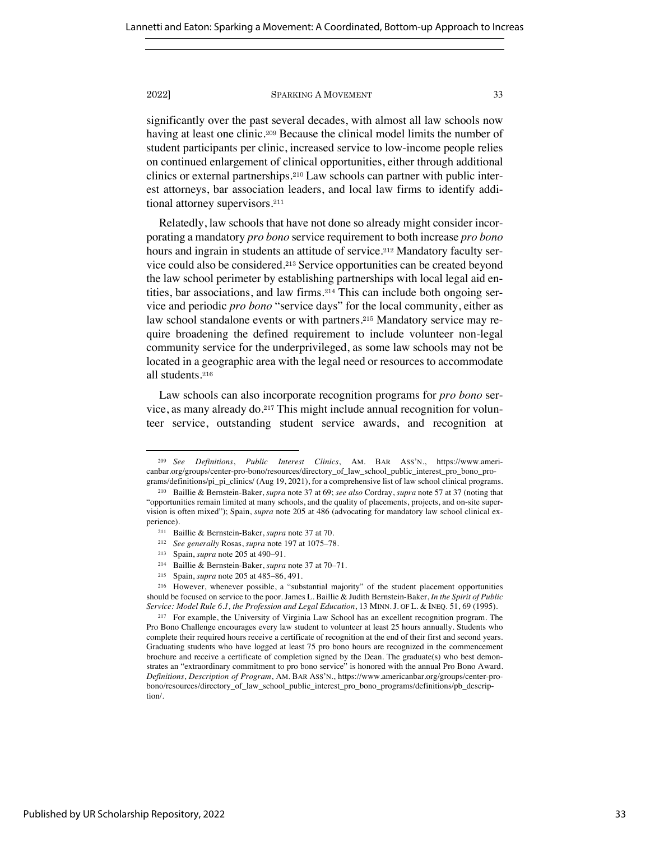significantly over the past several decades, with almost all law schools now having at least one clinic.<sup>209</sup> Because the clinical model limits the number of student participants per clinic, increased service to low-income people relies on continued enlargement of clinical opportunities, either through additional clinics or external partnerships.<sup>210</sup> Law schools can partner with public interest attorneys, bar association leaders, and local law firms to identify additional attorney supervisors.<sup>211</sup>

Relatedly, law schools that have not done so already might consider incorporating a mandatory *pro bono* service requirement to both increase *pro bono*  hours and ingrain in students an attitude of service.<sup>212</sup> Mandatory faculty service could also be considered.<sup>213</sup> Service opportunities can be created beyond the law school perimeter by establishing partnerships with local legal aid entities, bar associations, and law firms.<sup>214</sup> This can include both ongoing service and periodic *pro bono* "service days" for the local community, either as law school standalone events or with partners.<sup>215</sup> Mandatory service may require broadening the defined requirement to include volunteer non-legal community service for the underprivileged, as some law schools may not be located in a geographic area with the legal need or resources to accommodate all students.<sup>216</sup>

Law schools can also incorporate recognition programs for *pro bono* service, as many already do.<sup>217</sup> This might include annual recognition for volunteer service, outstanding student service awards, and recognition at

<sup>209</sup> *See Definitions*, *Public Interest Clinics*, AM. BAR ASS'N., https://www.americanbar.org/groups/center-pro-bono/resources/directory\_of\_law\_school\_public\_interest\_pro\_bono\_programs/definitions/pi\_pi\_clinics/ (Aug 19, 2021), for a comprehensive list of law school clinical programs.

<sup>210</sup> Baillie & Bernstein-Baker, *supra* note 37 at 69; *see also* Cordray, *supra* note 57 at 37 (noting that "opportunities remain limited at many schools, and the quality of placements, projects, and on-site supervision is often mixed"); Spain, *supra* note 205 at 486 (advocating for mandatory law school clinical experience).

<sup>211</sup> Baillie & Bernstein-Baker, *supra* note 37 at 70.

<sup>212</sup> *See generally* Rosas, *supra* note 197 at 1075–78.

<sup>213</sup> Spain, *supra* note 205 at 490–91.

<sup>214</sup> Baillie & Bernstein-Baker, *supra* note 37 at 70–71.

<sup>215</sup> Spain, *supra* note 205 at 485–86, 491.

<sup>216</sup> However, whenever possible, a "substantial majority" of the student placement opportunities should be focused on service to the poor. James L. Baillie & Judith Bernstein-Baker, *In the Spirit of Public Service: Model Rule 6.1, the Profession and Legal Education*, 13 MINN. J. OF L. & INEQ. 51, 69 (1995).

<sup>217</sup> For example, the University of Virginia Law School has an excellent recognition program. The Pro Bono Challenge encourages every law student to volunteer at least 25 hours annually. Students who complete their required hours receive a certificate of recognition at the end of their first and second years. Graduating students who have logged at least 75 pro bono hours are recognized in the commencement brochure and receive a certificate of completion signed by the Dean. The graduate(s) who best demonstrates an "extraordinary commitment to pro bono service" is honored with the annual Pro Bono Award. *Definitions*, *Description of Program*, AM. BAR ASS'N., https://www.americanbar.org/groups/center-probono/resources/directory\_of\_law\_school\_public\_interest\_pro\_bono\_programs/definitions/pb\_description/.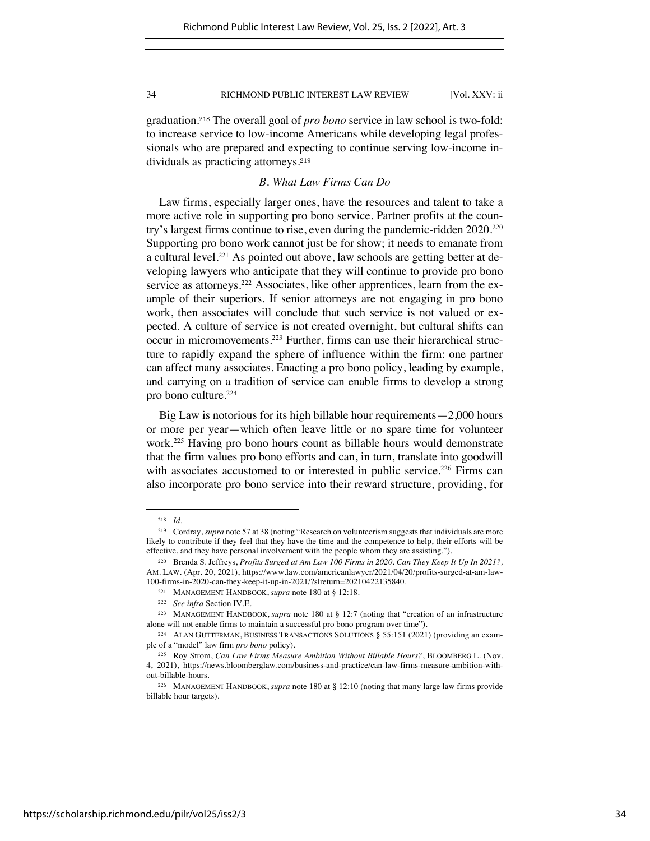graduation.<sup>218</sup> The overall goal of *pro bono* service in law school is two-fold: to increase service to low-income Americans while developing legal professionals who are prepared and expecting to continue serving low-income individuals as practicing attorneys.<sup>219</sup>

# *B. What Law Firms Can Do*

Law firms, especially larger ones, have the resources and talent to take a more active role in supporting pro bono service. Partner profits at the country's largest firms continue to rise, even during the pandemic-ridden 2020.220 Supporting pro bono work cannot just be for show; it needs to emanate from a cultural level.<sup>221</sup> As pointed out above, law schools are getting better at developing lawyers who anticipate that they will continue to provide pro bono service as attorneys.<sup>222</sup> Associates, like other apprentices, learn from the example of their superiors. If senior attorneys are not engaging in pro bono work, then associates will conclude that such service is not valued or expected. A culture of service is not created overnight, but cultural shifts can occur in micromovements.223 Further, firms can use their hierarchical structure to rapidly expand the sphere of influence within the firm: one partner can affect many associates. Enacting a pro bono policy, leading by example, and carrying on a tradition of service can enable firms to develop a strong pro bono culture.224

Big Law is notorious for its high billable hour requirements—2,000 hours or more per year—which often leave little or no spare time for volunteer work.225 Having pro bono hours count as billable hours would demonstrate that the firm values pro bono efforts and can, in turn, translate into goodwill with associates accustomed to or interested in public service.<sup>226</sup> Firms can also incorporate pro bono service into their reward structure, providing, for

<sup>218</sup> *Id.*

<sup>219</sup> Cordray, *supra* note 57 at 38 (noting "Research on volunteerism suggests that individuals are more likely to contribute if they feel that they have the time and the competence to help, their efforts will be effective, and they have personal involvement with the people whom they are assisting.").

<sup>220</sup> Brenda S. Jeffreys, *Profits Surged at Am Law 100 Firms in 2020. Can They Keep It Up In 2021?,*  AM. LAW. (Apr. 20, 2021), https://www.law.com/americanlawyer/2021/04/20/profits-surged-at-am-law-100-firms-in-2020-can-they-keep-it-up-in-2021/?slreturn=20210422135840.

<sup>221</sup> MANAGEMENT HANDBOOK, *supra* note 180 at § 12:18.

<sup>222</sup> *See infra* Section IV.E.

<sup>223</sup> MANAGEMENT HANDBOOK, *supra* note 180 at § 12:7 (noting that "creation of an infrastructure alone will not enable firms to maintain a successful pro bono program over time").

<sup>224</sup> ALAN GUTTERMAN, BUSINESS TRANSACTIONS SOLUTIONS § 55:151 (2021) (providing an example of a "model" law firm *pro bono* policy).

<sup>225</sup> Roy Strom, *Can Law Firms Measure Ambition Without Billable Hours?*, BLOOMBERG L. (Nov. 4, 2021), https://news.bloomberglaw.com/business-and-practice/can-law-firms-measure-ambition-without-billable-hours.

<sup>226</sup> MANAGEMENT HANDBOOK, *supra* note 180 at § 12:10 (noting that many large law firms provide billable hour targets).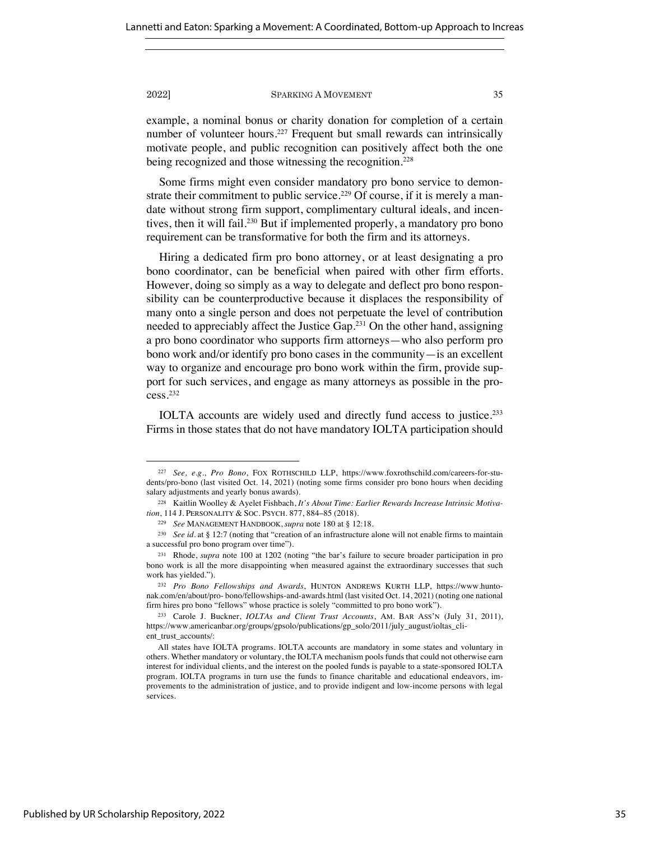example, a nominal bonus or charity donation for completion of a certain number of volunteer hours.<sup>227</sup> Frequent but small rewards can intrinsically motivate people, and public recognition can positively affect both the one being recognized and those witnessing the recognition.<sup>228</sup>

Some firms might even consider mandatory pro bono service to demonstrate their commitment to public service.<sup>229</sup> Of course, if it is merely a mandate without strong firm support, complimentary cultural ideals, and incentives, then it will fail.230 But if implemented properly, a mandatory pro bono requirement can be transformative for both the firm and its attorneys.

Hiring a dedicated firm pro bono attorney, or at least designating a pro bono coordinator, can be beneficial when paired with other firm efforts. However, doing so simply as a way to delegate and deflect pro bono responsibility can be counterproductive because it displaces the responsibility of many onto a single person and does not perpetuate the level of contribution needed to appreciably affect the Justice Gap.231 On the other hand, assigning a pro bono coordinator who supports firm attorneys—who also perform pro bono work and/or identify pro bono cases in the community—is an excellent way to organize and encourage pro bono work within the firm, provide support for such services, and engage as many attorneys as possible in the process.232

IOLTA accounts are widely used and directly fund access to justice.233 Firms in those states that do not have mandatory IOLTA participation should

<sup>227</sup> *See, e.g.*, *Pro Bono*, FOX ROTHSCHILD LLP, https://www.foxrothschild.com/careers-for-students/pro-bono (last visited Oct. 14, 2021) (noting some firms consider pro bono hours when deciding salary adjustments and yearly bonus awards).

<sup>228</sup> Kaitlin Woolley & Ayelet Fishbach, *It's About Time: Earlier Rewards Increase Intrinsic Motivation*, 114 J. PERSONALITY & SOC. PSYCH. 877, 884–85 (2018).

<sup>229</sup> *See* MANAGEMENT HANDBOOK, *supra* note 180 at § 12:18.

<sup>230</sup> *See id.* at § 12:7 (noting that "creation of an infrastructure alone will not enable firms to maintain a successful pro bono program over time").

<sup>231</sup> Rhode, *supra* note 100 at 1202 (noting "the bar's failure to secure broader participation in pro bono work is all the more disappointing when measured against the extraordinary successes that such work has yielded.").

<sup>232</sup> *Pro Bono Fellowships and Awards*, HUNTON ANDREWS KURTH LLP, https://www.huntonak.com/en/about/pro- bono/fellowships-and-awards.html (last visited Oct. 14, 2021) (noting one national firm hires pro bono "fellows" whose practice is solely "committed to pro bono work").

<sup>233</sup> Carole J. Buckner, *IOLTAs and Client Trust Accounts*, AM. BAR ASS'N (July 31, 2011), https://www.americanbar.org/groups/gpsolo/publications/gp\_solo/2011/july\_august/ioltas\_client\_trust\_accounts/:

All states have IOLTA programs. IOLTA accounts are mandatory in some states and voluntary in others. Whether mandatory or voluntary, the IOLTA mechanism pools funds that could not otherwise earn interest for individual clients, and the interest on the pooled funds is payable to a state-sponsored IOLTA program. IOLTA programs in turn use the funds to finance charitable and educational endeavors, improvements to the administration of justice, and to provide indigent and low-income persons with legal services.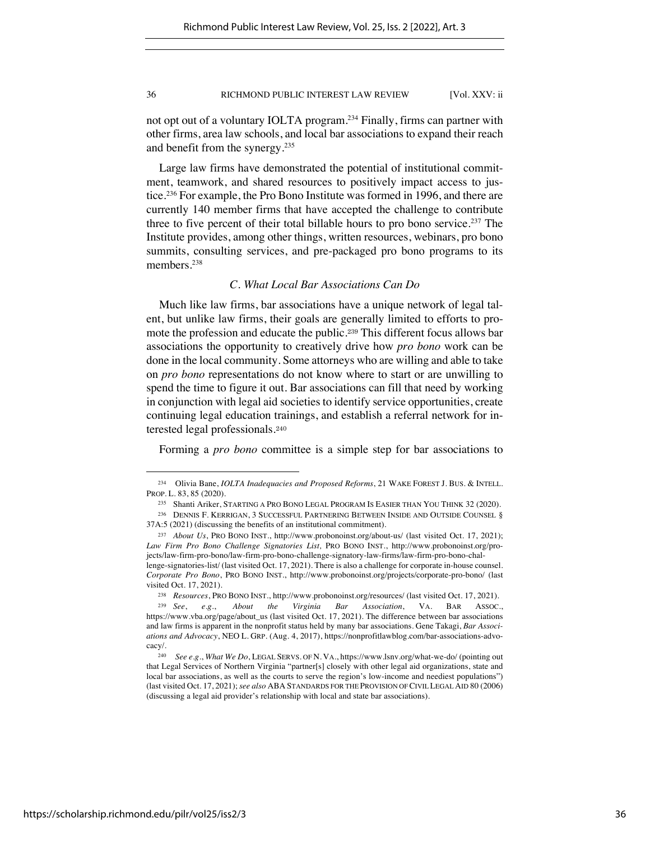not opt out of a voluntary IOLTA program.234 Finally, firms can partner with other firms, area law schools, and local bar associations to expand their reach and benefit from the synergy.235

Large law firms have demonstrated the potential of institutional commitment, teamwork, and shared resources to positively impact access to justice.236 For example, the Pro Bono Institute was formed in 1996, and there are currently 140 member firms that have accepted the challenge to contribute three to five percent of their total billable hours to pro bono service.237 The Institute provides, among other things, written resources, webinars, pro bono summits, consulting services, and pre-packaged pro bono programs to its members.<sup>238</sup>

# *C. What Local Bar Associations Can Do*

Much like law firms, bar associations have a unique network of legal talent, but unlike law firms, their goals are generally limited to efforts to promote the profession and educate the public.<sup>239</sup> This different focus allows bar associations the opportunity to creatively drive how *pro bono* work can be done in the local community. Some attorneys who are willing and able to take on *pro bono* representations do not know where to start or are unwilling to spend the time to figure it out. Bar associations can fill that need by working in conjunction with legal aid societies to identify service opportunities, create continuing legal education trainings, and establish a referral network for interested legal professionals.<sup>240</sup>

Forming a *pro bono* committee is a simple step for bar associations to

<sup>234</sup> Olivia Bane, *IOLTA Inadequacies and Proposed Reforms*, 21 WAKE FOREST J. BUS. & INTELL. PROP. L. 83, 85 (2020).

<sup>235</sup> Shanti Ariker, STARTING A PRO BONO LEGAL PROGRAM IS EASIER THAN YOU THINK 32 (2020).

<sup>236</sup> DENNIS F. KERRIGAN, 3 SUCCESSFUL PARTNERING BETWEEN INSIDE AND OUTSIDE COUNSEL § 37A:5 (2021) (discussing the benefits of an institutional commitment).

<sup>237</sup> *About Us*, PRO BONO INST., http://www.probonoinst.org/about-us/ (last visited Oct. 17, 2021); *Law Firm Pro Bono Challenge Signatories List,* PRO BONO INST., http://www.probonoinst.org/projects/law-firm-pro-bono/law-firm-pro-bono-challenge-signatory-law-firms/law-firm-pro-bono-challenge-signatories-list/ (last visited Oct. 17, 2021). There is also a challenge for corporate in-house counsel.

*Corporate Pro Bono*, PRO BONO INST., http://www.probonoinst.org/projects/corporate-pro-bono/ (last visited Oct. 17, 2021).

<sup>238</sup> *Resources*, PRO BONO INST., http://www.probonoinst.org/resources/ (last visited Oct. 17, 2021).

<sup>239</sup> *See*, *e.g.*, *About the Virginia Bar Association*, VA. BAR ASSOC., https://www.vba.org/page/about\_us (last visited Oct. 17, 2021). The difference between bar associations and law firms is apparent in the nonprofit status held by many bar associations. Gene Takagi, *Bar Associations and Advocacy*, NEO L. GRP. (Aug. 4, 2017), https://nonprofitlawblog.com/bar-associations-advocacy/.

<sup>240</sup> *See e.g.*, *What We Do*, LEGAL SERVS. OF N. VA., https://www.lsnv.org/what-we-do/ (pointing out that Legal Services of Northern Virginia "partner[s] closely with other legal aid organizations, state and local bar associations, as well as the courts to serve the region's low-income and neediest populations") (last visited Oct. 17, 2021); *see also* ABA STANDARDS FOR THE PROVISION OF CIVIL LEGAL AID 80 (2006) (discussing a legal aid provider's relationship with local and state bar associations).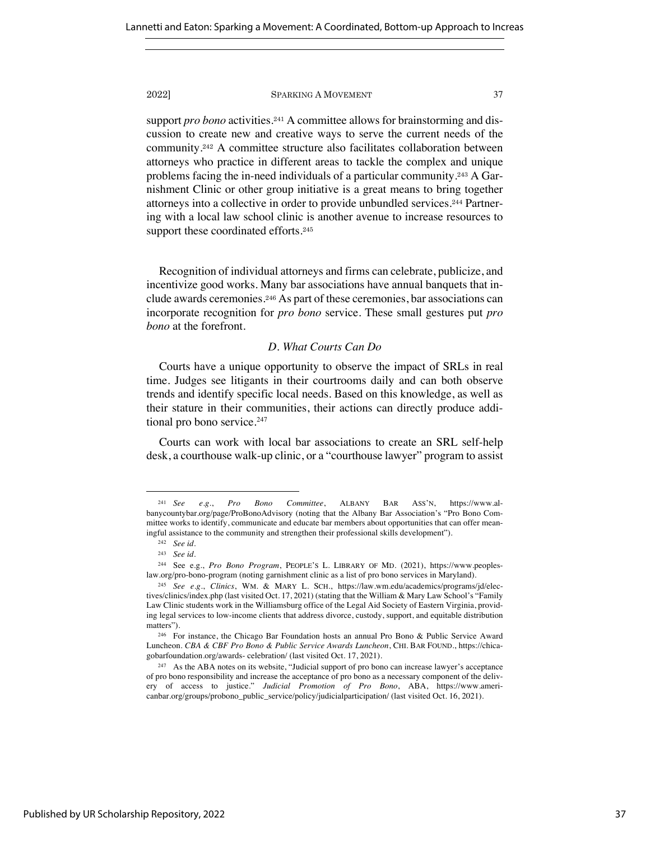support *pro bono* activities.<sup>241</sup> A committee allows for brainstorming and discussion to create new and creative ways to serve the current needs of the community.<sup>242</sup> A committee structure also facilitates collaboration between attorneys who practice in different areas to tackle the complex and unique problems facing the in-need individuals of a particular community.<sup>243</sup> A Garnishment Clinic or other group initiative is a great means to bring together attorneys into a collective in order to provide unbundled services.<sup>244</sup> Partnering with a local law school clinic is another avenue to increase resources to support these coordinated efforts.<sup>245</sup>

Recognition of individual attorneys and firms can celebrate, publicize, and incentivize good works. Many bar associations have annual banquets that include awards ceremonies.<sup>246</sup> As part of these ceremonies, bar associations can incorporate recognition for *pro bono* service. These small gestures put *pro bono* at the forefront.

### *D. What Courts Can Do*

Courts have a unique opportunity to observe the impact of SRLs in real time. Judges see litigants in their courtrooms daily and can both observe trends and identify specific local needs. Based on this knowledge, as well as their stature in their communities, their actions can directly produce additional pro bono service.<sup>247</sup>

Courts can work with local bar associations to create an SRL self-help desk, a courthouse walk-up clinic, or a "courthouse lawyer" program to assist

<sup>241</sup> *See e.g.*, *Pro Bono Committee*, ALBANY BAR ASS'N, https://www.albanycountybar.org/page/ProBonoAdvisory (noting that the Albany Bar Association's "Pro Bono Committee works to identify, communicate and educate bar members about opportunities that can offer meaningful assistance to the community and strengthen their professional skills development").

<sup>242</sup> *See id.*

<sup>243</sup> *See id.* 

<sup>244</sup> See e.g., *Pro Bono Program*, PEOPLE'S L. LIBRARY OF MD. (2021), https://www.peopleslaw.org/pro-bono-program (noting garnishment clinic as a list of pro bono services in Maryland).

<sup>245</sup> *See e.g.*, *Clinics*, WM. & MARY L. SCH., https://law.wm.edu/academics/programs/jd/electives/clinics/index.php (last visited Oct. 17, 2021) (stating that the William & Mary Law School's "Family Law Clinic students work in the Williamsburg office of the Legal Aid Society of Eastern Virginia, providing legal services to low-income clients that address divorce, custody, support, and equitable distribution matters").

<sup>246</sup> For instance, the Chicago Bar Foundation hosts an annual Pro Bono & Public Service Award Luncheon. *CBA & CBF Pro Bono & Public Service Awards Luncheon*, CHI. BAR FOUND., https://chicagobarfoundation.org/awards- celebration/ (last visited Oct. 17, 2021).

<sup>247</sup> As the ABA notes on its website, "Judicial support of pro bono can increase lawyer's acceptance of pro bono responsibility and increase the acceptance of pro bono as a necessary component of the delivery of access to justice." *Judicial Promotion of Pro Bono*, ABA, https://www.americanbar.org/groups/probono\_public\_service/policy/judicialparticipation/ (last visited Oct. 16, 2021).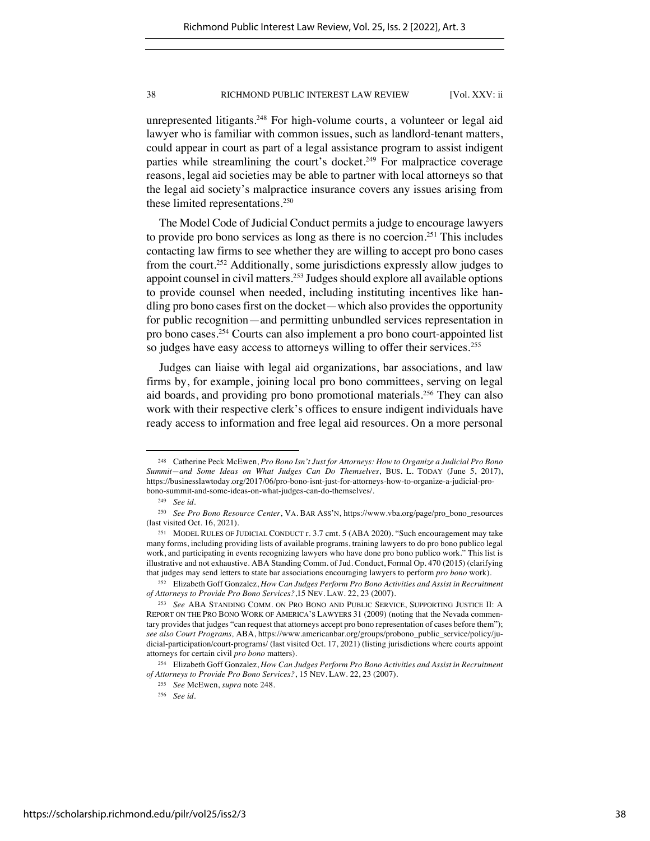unrepresented litigants.<sup>248</sup> For high-volume courts, a volunteer or legal aid lawyer who is familiar with common issues, such as landlord-tenant matters, could appear in court as part of a legal assistance program to assist indigent parties while streamlining the court's docket.<sup>249</sup> For malpractice coverage reasons, legal aid societies may be able to partner with local attorneys so that the legal aid society's malpractice insurance covers any issues arising from these limited representations.250

The Model Code of Judicial Conduct permits a judge to encourage lawyers to provide pro bono services as long as there is no coercion.251 This includes contacting law firms to see whether they are willing to accept pro bono cases from the court.252 Additionally, some jurisdictions expressly allow judges to appoint counsel in civil matters.253 Judges should explore all available options to provide counsel when needed, including instituting incentives like handling pro bono cases first on the docket—which also provides the opportunity for public recognition—and permitting unbundled services representation in pro bono cases.254 Courts can also implement a pro bono court-appointed list so judges have easy access to attorneys willing to offer their services.<sup>255</sup>

Judges can liaise with legal aid organizations, bar associations, and law firms by, for example, joining local pro bono committees, serving on legal aid boards, and providing pro bono promotional materials.256 They can also work with their respective clerk's offices to ensure indigent individuals have ready access to information and free legal aid resources. On a more personal

<sup>248</sup> Catherine Peck McEwen, *Pro Bono Isn't Just for Attorneys: How to Organize a Judicial Pro Bono Summit—and Some Ideas on What Judges Can Do Themselves*, BUS. L. TODAY (June 5, 2017), https://businesslawtoday.org/2017/06/pro-bono-isnt-just-for-attorneys-how-to-organize-a-judicial-probono-summit-and-some-ideas-on-what-judges-can-do-themselves/.

<sup>249</sup> *See id.*

<sup>250</sup> *See Pro Bono Resource Center*, VA. BAR ASS'N, https://www.vba.org/page/pro\_bono\_resources (last visited Oct. 16, 2021).

<sup>251</sup> MODEL RULES OF JUDICIAL CONDUCT r. 3.7 cmt. 5 (ABA 2020). "Such encouragement may take many forms, including providing lists of available programs, training lawyers to do pro bono publico legal work, and participating in events recognizing lawyers who have done pro bono publico work." This list is illustrative and not exhaustive. ABA Standing Comm. of Jud. Conduct, Formal Op. 470 (2015) (clarifying that judges may send letters to state bar associations encouraging lawyers to perform *pro bono* work).

<sup>252</sup> Elizabeth Goff Gonzalez, *How Can Judges Perform Pro Bono Activities and Assist in Recruitment of Attorneys to Provide Pro Bono Services?*,15 NEV. LAW. 22, 23 (2007).

<sup>253</sup> *See* ABA STANDING COMM. ON PRO BONO AND PUBLIC SERVICE, SUPPORTING JUSTICE II: A REPORT ON THE PRO BONO WORK OF AMERICA'S LAWYERS 31 (2009) (noting that the Nevada commentary provides that judges "can request that attorneys accept pro bono representation of cases before them"); *see also Court Programs,* ABA, https://www.americanbar.org/groups/probono\_public\_service/policy/judicial-participation/court-programs/ (last visited Oct. 17, 2021) (listing jurisdictions where courts appoint attorneys for certain civil *pro bono* matters).

<sup>254</sup> Elizabeth Goff Gonzalez, *How Can Judges Perform Pro Bono Activities and Assist in Recruitment of Attorneys to Provide Pro Bono Services?*, 15 NEV. LAW. 22, 23 (2007).

<sup>255</sup> *See* McEwen, *supra* note 248.

<sup>256</sup> *See id.*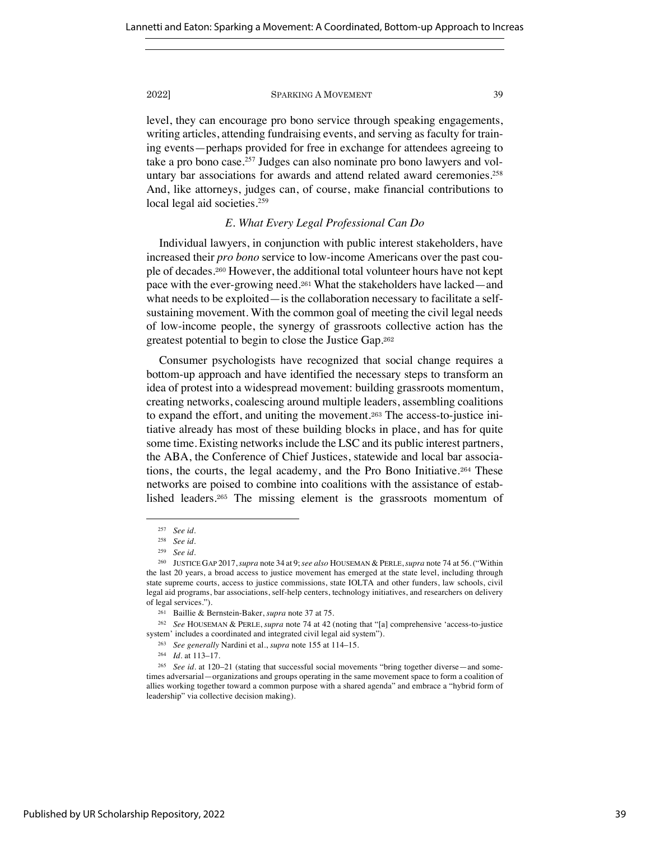level, they can encourage pro bono service through speaking engagements, writing articles, attending fundraising events, and serving as faculty for training events—perhaps provided for free in exchange for attendees agreeing to take a pro bono case.<sup>257</sup> Judges can also nominate pro bono lawyers and voluntary bar associations for awards and attend related award ceremonies.<sup>258</sup> And, like attorneys, judges can, of course, make financial contributions to local legal aid societies.<sup>259</sup>

# *E. What Every Legal Professional Can Do*

Individual lawyers, in conjunction with public interest stakeholders, have increased their *pro bono* service to low-income Americans over the past couple of decades.<sup>260</sup> However, the additional total volunteer hours have not kept pace with the ever-growing need.<sup>261</sup> What the stakeholders have lacked—and what needs to be exploited—is the collaboration necessary to facilitate a selfsustaining movement. With the common goal of meeting the civil legal needs of low-income people, the synergy of grassroots collective action has the greatest potential to begin to close the Justice Gap.<sup>262</sup>

Consumer psychologists have recognized that social change requires a bottom-up approach and have identified the necessary steps to transform an idea of protest into a widespread movement: building grassroots momentum, creating networks, coalescing around multiple leaders, assembling coalitions to expand the effort, and uniting the movement.<sup>263</sup> The access-to-justice initiative already has most of these building blocks in place, and has for quite some time. Existing networks include the LSC and its public interest partners, the ABA, the Conference of Chief Justices, statewide and local bar associations, the courts, the legal academy, and the Pro Bono Initiative.<sup>264</sup> These networks are poised to combine into coalitions with the assistance of established leaders.<sup>265</sup> The missing element is the grassroots momentum of

<sup>257</sup> *See id.* 

<sup>258</sup> *See id.*

<sup>259</sup> *See id.*

<sup>260</sup> JUSTICE GAP 2017,*supra* note 34 at 9;*see also* HOUSEMAN & PERLE,*supra* note 74 at 56. ("Within the last 20 years, a broad access to justice movement has emerged at the state level, including through state supreme courts, access to justice commissions, state IOLTA and other funders, law schools, civil legal aid programs, bar associations, self-help centers, technology initiatives, and researchers on delivery of legal services.").

<sup>261</sup> Baillie & Bernstein-Baker, *supra* note 37 at 75.

<sup>262</sup> *See* HOUSEMAN & PERLE, *supra* note 74 at 42 (noting that "[a] comprehensive 'access-to-justice system' includes a coordinated and integrated civil legal aid system").

<sup>263</sup> *See generally* Nardini et al., *supra* note 155 at 114–15.

<sup>264</sup> *Id.* at 113–17.

<sup>265</sup> *See id.* at 120–21 (stating that successful social movements "bring together diverse—and sometimes adversarial—organizations and groups operating in the same movement space to form a coalition of allies working together toward a common purpose with a shared agenda" and embrace a "hybrid form of leadership" via collective decision making).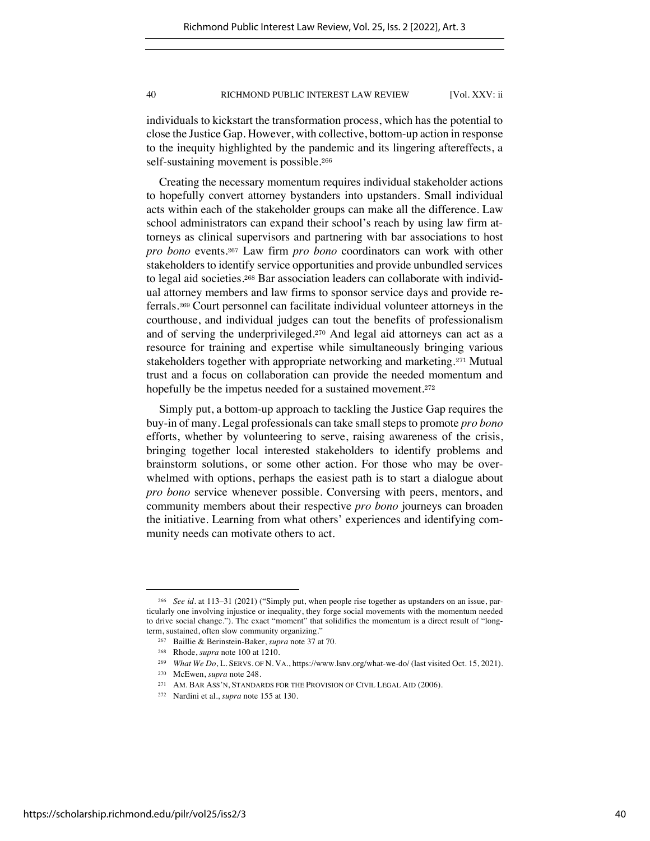individuals to kickstart the transformation process, which has the potential to close the Justice Gap. However, with collective, bottom-up action in response to the inequity highlighted by the pandemic and its lingering aftereffects, a self-sustaining movement is possible.<sup>266</sup>

Creating the necessary momentum requires individual stakeholder actions to hopefully convert attorney bystanders into upstanders. Small individual acts within each of the stakeholder groups can make all the difference. Law school administrators can expand their school's reach by using law firm attorneys as clinical supervisors and partnering with bar associations to host *pro bono* events.<sup>267</sup> Law firm *pro bono* coordinators can work with other stakeholders to identify service opportunities and provide unbundled services to legal aid societies.<sup>268</sup> Bar association leaders can collaborate with individual attorney members and law firms to sponsor service days and provide referrals.<sup>269</sup> Court personnel can facilitate individual volunteer attorneys in the courthouse, and individual judges can tout the benefits of professionalism and of serving the underprivileged.<sup>270</sup> And legal aid attorneys can act as a resource for training and expertise while simultaneously bringing various stakeholders together with appropriate networking and marketing.<sup>271</sup> Mutual trust and a focus on collaboration can provide the needed momentum and hopefully be the impetus needed for a sustained movement.<sup>272</sup>

Simply put, a bottom-up approach to tackling the Justice Gap requires the buy-in of many. Legal professionals can take small stepsto promote *pro bono* efforts, whether by volunteering to serve, raising awareness of the crisis, bringing together local interested stakeholders to identify problems and brainstorm solutions, or some other action. For those who may be overwhelmed with options, perhaps the easiest path is to start a dialogue about *pro bono* service whenever possible. Conversing with peers, mentors, and community members about their respective *pro bono* journeys can broaden the initiative. Learning from what others' experiences and identifying community needs can motivate others to act.

<sup>266</sup> *See id.* at 113–31 (2021) ("Simply put, when people rise together as upstanders on an issue, particularly one involving injustice or inequality, they forge social movements with the momentum needed to drive social change."). The exact "moment" that solidifies the momentum is a direct result of "longterm, sustained, often slow community organizing."

<sup>267</sup> Baillie & Berinstein-Baker, *supra* note 37 at 70.

<sup>268</sup> Rhode, *supra* note 100 at 1210.

<sup>269</sup> *What We Do*, L. SERVS. OF N. VA., https://www.lsnv.org/what-we-do/ (last visited Oct. 15, 2021).

<sup>270</sup> McEwen, *supra* note 248.

<sup>271</sup> AM. BAR ASS'N, STANDARDS FOR THE PROVISION OF CIVIL LEGAL AID (2006).

<sup>272</sup> Nardini et al., *supra* note 155 at 130.